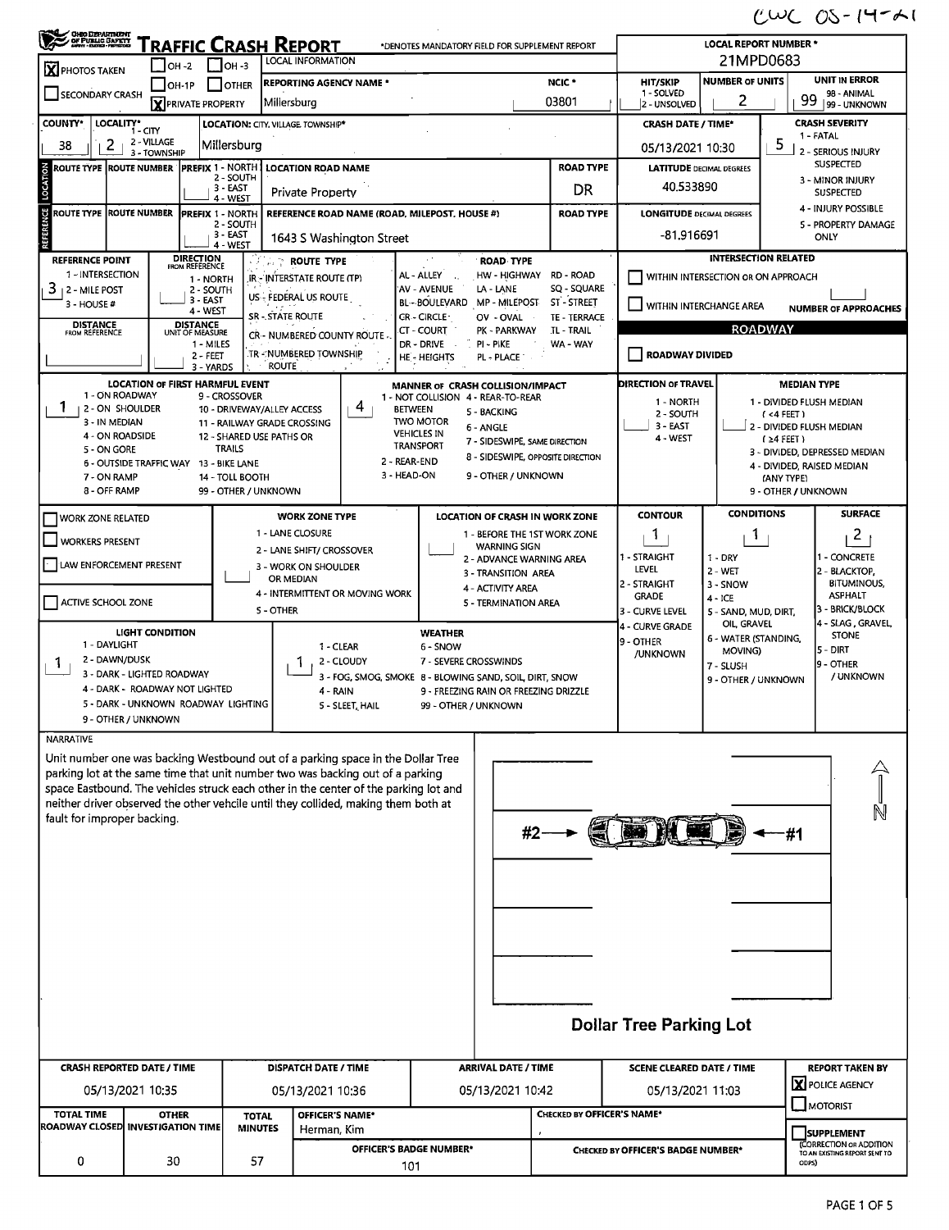$CUCOS-14-11$ 

| `raffic Crash Report<br>*DENOTES MANDATORY FIELD FOR SUPPLEMENT REPORT<br>21MPD0683<br>LOCAL INFORMATION<br>$\Box$ OH-3<br>$\Box$ OH -2<br><b>X</b> PHOTOS TAKEN<br><b>UNIT IN ERROR</b><br><b>NUMBER OF UNITS</b><br>NCIC <sup>*</sup><br><b>HIT/SKIP</b><br><b>REPORTING AGENCY NAME*</b><br>$\Box$ OTHER<br>  <b> </b> OH-1P<br>1 - SOLVED<br>SECONDARY CRASH<br>98 - ANIMAL<br>99<br>2<br>03801<br>Miliersburg<br><b>X</b> PRIVATE PROPERTY<br>2 - UNSOLVED<br>99 - UNKNOWN<br>COUNTY*<br>LOCALITY* CITY<br><b>CRASH SEVERITY</b><br>LOCATION: CITY, VILLAGE, TOWNSHIP*<br><b>CRASH DATE / TIME*</b><br>1 - FATAL<br>2 - VILLAGE<br>5<br>$\mathbf{2}$<br>Millersburg<br>38<br>05/13/2021 10:30<br>2 - SERIOUS INJURY<br>3 - TOWNSHIP<br><b>SUSPECTED</b><br><b>PREFIX 1 - NORTH</b><br><b>ROAD TYPE</b><br>LOCATION<br>ROUTE TYPE ROUTE NUMBER<br><b>LOCATION ROAD NAME</b><br><b>LATITUDE DECIMAL DEGREES</b><br>2 - SOUTH<br>3 - MINOR INJURY<br>40.533890<br>3 EAST<br>DR<br>Private Property<br><b>SUSPECTED</b><br>4 - WEST<br>4 - INJURY POSSIBLE<br>ţ<br>ROUTE TYPE ROUTE NUMBER<br>REFERENCE ROAD NAME (ROAD, MILEPOST, HOUSE #)<br><b>ROAD TYPE</b><br><b>PREFIX 1 - NORTH</b><br><b>LONGITUDE DECIMAL DEGREES</b><br>2 - SOUTH<br>5 - PROPERTY DAMAGE<br>3 - EAST<br>-81.916691<br>ONLY<br>1643 S Washington Street<br>4 - WEST<br><b>INTERSECTION RELATED</b><br><b>DIRECTION</b><br>FROM REFERENCE<br><b>REFERENCE POINT</b><br><b><i>COLLEY ROUTE TYPE</i></b><br><b>ROAD TYPE</b><br>1 - INTERSECTION<br>AL - ALLEY<br>HW HIGHWAY RD ROAD<br>WITHIN INTERSECTION OR ON APPROACH<br><b>IR - INTERSTATE ROUTE (TP)</b><br>1 - NORTH<br>SQ - SQUARE<br>3<br>AV - AVENUE<br>LA - LANE<br>  2 - MILE POST<br>2 - SOUTH<br>US - FEDERAL US ROUTE<br>3 - EAST<br>ST-STREET<br><b>BL-BOULEVARD</b><br>MP - MILEPOST<br>3 - HOUSE #<br>WITHIN INTERCHANGE AREA<br><b>NUMBER OF APPROACHES</b><br>4 - WEST<br><b>SR-STATE ROUTE</b><br>CR - CIRCLE<br>OV - OVAL<br><b>TE - TERRACE</b><br>DISTANCE<br>UNIT OF MEASURE<br><b>DISTANCE</b><br>FROM REFERENCE<br><b>ROADWAY</b><br>CT - COURT<br>PK - PARKWAY<br><b>TL - TRAIL</b><br>CR - NUMBERED COUNTY ROUTE<br>1 - MILES<br>DR - DRIVE<br>PI - PIKE<br>WA - WAY<br>TR - NUMBERED TOWNSHIP<br><b>ROADWAY DIVIDED</b><br>2 - FEET<br><b>HE-HEIGHTS</b><br>PL - PLACE<br><b>ROUTE</b><br>3 - YARDS<br><b>DIRECTION OF TRAVEL</b><br><b>LOCATION OF FIRST HARMFUL EVENT</b><br><b>MEDIAN TYPE</b><br>MANNER OF CRASH COLLISION/IMPACT<br>1 - ON ROADWAY<br>9 - CROSSOVER<br>1 - NOT COLLISION 4 - REAR-TO-REAR<br>1 - NORTH<br>1 - DIVIDED FLUSH MEDIAN<br>4<br>1.<br>2 - ON SHOULDER<br>10 - DRIVEWAY/ALLEY ACCESS<br><b>BETWEEN</b><br>5 - BACKING<br>2 - SOUTH<br>(4FET)<br>3 - IN MEDIAN<br><b>TWO MOTOR</b><br>11 - RAILWAY GRADE CROSSING<br>3 - EAST<br>2 - DIVIDED FLUSH MEDIAN<br>6 - ANGLE<br><b>VEHICLES IN</b><br>4 - ON ROADSIDE<br>12 - SHARED USE PATHS OR<br>4 - WEST<br>$(24$ FEET)<br>7 - SIDESWIPE, SAME DIRECTION<br><b>TRANSPORT</b><br><b>TRAILS</b><br>5 - ON GORE<br>3 - DIVIDED, DEPRESSED MEDIAN<br>8 - SIDESWIPE, OPPOSITE DIRECTION<br>2 - REAR-END<br>6 - OUTSIDE TRAFFIC WAY 13 - BIKE LANE<br>4 - DIVIDED, RAISED MEDIAN<br>3 - HEAD-ON<br>9 - OTHER / UNKNOWN<br>7 - ON RAMP<br>14 - TOLL BOOTH<br>(ANY TYPE)<br>8 - OFF RAMP<br>9 - OTHER / UNKNOWN<br>99 - OTHER / UNKNOWN<br><b>CONDITIONS</b><br><b>SURFACE</b><br><b>CONTOUR</b><br><b>WORK ZONE TYPE</b><br>LOCATION OF CRASH IN WORK ZONE<br>WORK ZONE RELATED<br>1 - LANE CLOSURE<br>2 <sup>1</sup><br>$\mathbf{1}$<br>1 - BEFORE THE 1ST WORK ZONE<br>1<br><b>WORKERS PRESENT</b><br><b>WARNING SIGN</b><br>2 - LANE SHIFT/ CROSSOVER<br>1 - STRAIGHT<br>1 - CONCRETE<br>$1 - DRY$<br>2 - ADVANCE WARNING AREA<br>LAW ENFORCEMENT PRESENT<br>3 - WORK ON SHOULDER<br>LEVEL<br>$2 - WET$<br>2 - BLACKTOP.<br>3 - TRANSITION AREA<br>OR MEDIAN<br><b>BITUMINOUS.</b><br>2 - STRAIGHT<br>3 - SNOW<br>4 - ACTIVITY AREA<br>4 - INTERMITTENT OR MOVING WORK<br><b>ASPHALT</b><br><b>GRADE</b><br>$4 - ICE$<br>ACTIVE SCHOOL ZONE<br>5 - TERMINATION AREA<br>3 - BRICK/BLOCK<br>5 - OTHER<br>3 - CURVE LEVEL<br>5 - SAND, MUD, DIRT,<br>4 - SLAG, GRAVEL<br>OIL, GRAVEL<br>4 - CURVE GRADE<br><b>LIGHT CONDITION</b><br><b>WEATHER</b><br><b>STONE</b><br>6 - WATER (STANDING,<br>9 - OTHER<br>1 - DAYLIGHT<br>1 - CLEAR<br>6 - SNOW<br>5 - DIRT<br>MOVING)<br>/UNKNOWN<br>2 - DAWN/DUSK<br>2 - CLOUDY<br>7 - SEVERE CROSSWINDS<br>1<br><b>T</b><br>9 - OTHER<br>7 - SLUSH<br>3 - DARK - LIGHTED ROADWAY<br>/ UNKNOWN<br>3 - FOG, SMOG, SMOKE 8 - BLOWING SAND, SOIL, DIRT, SNOW<br>9 - OTHER / UNKNOWN<br>4 - DARK - ROADWAY NOT LIGHTED<br>$4 - RAIN$<br>9 - FREEZING RAIN OR FREEZING DRIZZLE<br>5 - DARK - UNKNOWN ROADWAY LIGHTING<br>5 - SLEET, HAIL<br>99 - OTHER / UNKNOWN<br>9 - OTHER / UNKNOWN<br><b>NARRATIVE</b><br>Unit number one was backing Westbound out of a parking space in the Dollar Tree<br>parking lot at the same time that unit number two was backing out of a parking<br>space Eastbound. The vehicles struck each other in the center of the parking lot and<br>neither driver observed the other vehcile until they collided, making them both at<br>fault for improper backing.<br><b>ET REPORTS</b> | <b>CHEO DEPARTMENT</b><br>OF PUBLIC GAPETY |  |  |  |  |  |  | <b>LOCAL REPORT NUMBER *</b> |  |   |  |
|-------------------------------------------------------------------------------------------------------------------------------------------------------------------------------------------------------------------------------------------------------------------------------------------------------------------------------------------------------------------------------------------------------------------------------------------------------------------------------------------------------------------------------------------------------------------------------------------------------------------------------------------------------------------------------------------------------------------------------------------------------------------------------------------------------------------------------------------------------------------------------------------------------------------------------------------------------------------------------------------------------------------------------------------------------------------------------------------------------------------------------------------------------------------------------------------------------------------------------------------------------------------------------------------------------------------------------------------------------------------------------------------------------------------------------------------------------------------------------------------------------------------------------------------------------------------------------------------------------------------------------------------------------------------------------------------------------------------------------------------------------------------------------------------------------------------------------------------------------------------------------------------------------------------------------------------------------------------------------------------------------------------------------------------------------------------------------------------------------------------------------------------------------------------------------------------------------------------------------------------------------------------------------------------------------------------------------------------------------------------------------------------------------------------------------------------------------------------------------------------------------------------------------------------------------------------------------------------------------------------------------------------------------------------------------------------------------------------------------------------------------------------------------------------------------------------------------------------------------------------------------------------------------------------------------------------------------------------------------------------------------------------------------------------------------------------------------------------------------------------------------------------------------------------------------------------------------------------------------------------------------------------------------------------------------------------------------------------------------------------------------------------------------------------------------------------------------------------------------------------------------------------------------------------------------------------------------------------------------------------------------------------------------------------------------------------------------------------------------------------------------------------------------------------------------------------------------------------------------------------------------------------------------------------------------------------------------------------------------------------------------------------------------------------------------------------------------------------------------------------------------------------------------------------------------------------------------------------------------------------------------------------------------------------------------------------------------------------------------------------------------------------------------------------------------------------------------------------------------------------------------------------------------------------------------------------------------------------------------------------------------------------------------------------------------------------------------------------------------------------------------------------------------------------------------------------------------------------------------------------------------------------------------------------------------------------------------------------------------------------------------------------------------------------------------------------------------------------------------------------------------------------------------------------------------------------------------------------------------------------------------------------------------|--------------------------------------------|--|--|--|--|--|--|------------------------------|--|---|--|
|                                                                                                                                                                                                                                                                                                                                                                                                                                                                                                                                                                                                                                                                                                                                                                                                                                                                                                                                                                                                                                                                                                                                                                                                                                                                                                                                                                                                                                                                                                                                                                                                                                                                                                                                                                                                                                                                                                                                                                                                                                                                                                                                                                                                                                                                                                                                                                                                                                                                                                                                                                                                                                                                                                                                                                                                                                                                                                                                                                                                                                                                                                                                                                                                                                                                                                                                                                                                                                                                                                                                                                                                                                                                                                                                                                                                                                                                                                                                                                                                                                                                                                                                                                                                                                                                                                                                                                                                                                                                                                                                                                                                                                                                                                                                                                                                                                                                                                                                                                                                                                                                                                                                                                                                                                                                               |                                            |  |  |  |  |  |  |                              |  |   |  |
|                                                                                                                                                                                                                                                                                                                                                                                                                                                                                                                                                                                                                                                                                                                                                                                                                                                                                                                                                                                                                                                                                                                                                                                                                                                                                                                                                                                                                                                                                                                                                                                                                                                                                                                                                                                                                                                                                                                                                                                                                                                                                                                                                                                                                                                                                                                                                                                                                                                                                                                                                                                                                                                                                                                                                                                                                                                                                                                                                                                                                                                                                                                                                                                                                                                                                                                                                                                                                                                                                                                                                                                                                                                                                                                                                                                                                                                                                                                                                                                                                                                                                                                                                                                                                                                                                                                                                                                                                                                                                                                                                                                                                                                                                                                                                                                                                                                                                                                                                                                                                                                                                                                                                                                                                                                                               |                                            |  |  |  |  |  |  |                              |  |   |  |
|                                                                                                                                                                                                                                                                                                                                                                                                                                                                                                                                                                                                                                                                                                                                                                                                                                                                                                                                                                                                                                                                                                                                                                                                                                                                                                                                                                                                                                                                                                                                                                                                                                                                                                                                                                                                                                                                                                                                                                                                                                                                                                                                                                                                                                                                                                                                                                                                                                                                                                                                                                                                                                                                                                                                                                                                                                                                                                                                                                                                                                                                                                                                                                                                                                                                                                                                                                                                                                                                                                                                                                                                                                                                                                                                                                                                                                                                                                                                                                                                                                                                                                                                                                                                                                                                                                                                                                                                                                                                                                                                                                                                                                                                                                                                                                                                                                                                                                                                                                                                                                                                                                                                                                                                                                                                               |                                            |  |  |  |  |  |  |                              |  |   |  |
|                                                                                                                                                                                                                                                                                                                                                                                                                                                                                                                                                                                                                                                                                                                                                                                                                                                                                                                                                                                                                                                                                                                                                                                                                                                                                                                                                                                                                                                                                                                                                                                                                                                                                                                                                                                                                                                                                                                                                                                                                                                                                                                                                                                                                                                                                                                                                                                                                                                                                                                                                                                                                                                                                                                                                                                                                                                                                                                                                                                                                                                                                                                                                                                                                                                                                                                                                                                                                                                                                                                                                                                                                                                                                                                                                                                                                                                                                                                                                                                                                                                                                                                                                                                                                                                                                                                                                                                                                                                                                                                                                                                                                                                                                                                                                                                                                                                                                                                                                                                                                                                                                                                                                                                                                                                                               |                                            |  |  |  |  |  |  |                              |  |   |  |
|                                                                                                                                                                                                                                                                                                                                                                                                                                                                                                                                                                                                                                                                                                                                                                                                                                                                                                                                                                                                                                                                                                                                                                                                                                                                                                                                                                                                                                                                                                                                                                                                                                                                                                                                                                                                                                                                                                                                                                                                                                                                                                                                                                                                                                                                                                                                                                                                                                                                                                                                                                                                                                                                                                                                                                                                                                                                                                                                                                                                                                                                                                                                                                                                                                                                                                                                                                                                                                                                                                                                                                                                                                                                                                                                                                                                                                                                                                                                                                                                                                                                                                                                                                                                                                                                                                                                                                                                                                                                                                                                                                                                                                                                                                                                                                                                                                                                                                                                                                                                                                                                                                                                                                                                                                                                               |                                            |  |  |  |  |  |  |                              |  |   |  |
|                                                                                                                                                                                                                                                                                                                                                                                                                                                                                                                                                                                                                                                                                                                                                                                                                                                                                                                                                                                                                                                                                                                                                                                                                                                                                                                                                                                                                                                                                                                                                                                                                                                                                                                                                                                                                                                                                                                                                                                                                                                                                                                                                                                                                                                                                                                                                                                                                                                                                                                                                                                                                                                                                                                                                                                                                                                                                                                                                                                                                                                                                                                                                                                                                                                                                                                                                                                                                                                                                                                                                                                                                                                                                                                                                                                                                                                                                                                                                                                                                                                                                                                                                                                                                                                                                                                                                                                                                                                                                                                                                                                                                                                                                                                                                                                                                                                                                                                                                                                                                                                                                                                                                                                                                                                                               |                                            |  |  |  |  |  |  |                              |  |   |  |
|                                                                                                                                                                                                                                                                                                                                                                                                                                                                                                                                                                                                                                                                                                                                                                                                                                                                                                                                                                                                                                                                                                                                                                                                                                                                                                                                                                                                                                                                                                                                                                                                                                                                                                                                                                                                                                                                                                                                                                                                                                                                                                                                                                                                                                                                                                                                                                                                                                                                                                                                                                                                                                                                                                                                                                                                                                                                                                                                                                                                                                                                                                                                                                                                                                                                                                                                                                                                                                                                                                                                                                                                                                                                                                                                                                                                                                                                                                                                                                                                                                                                                                                                                                                                                                                                                                                                                                                                                                                                                                                                                                                                                                                                                                                                                                                                                                                                                                                                                                                                                                                                                                                                                                                                                                                                               |                                            |  |  |  |  |  |  |                              |  |   |  |
|                                                                                                                                                                                                                                                                                                                                                                                                                                                                                                                                                                                                                                                                                                                                                                                                                                                                                                                                                                                                                                                                                                                                                                                                                                                                                                                                                                                                                                                                                                                                                                                                                                                                                                                                                                                                                                                                                                                                                                                                                                                                                                                                                                                                                                                                                                                                                                                                                                                                                                                                                                                                                                                                                                                                                                                                                                                                                                                                                                                                                                                                                                                                                                                                                                                                                                                                                                                                                                                                                                                                                                                                                                                                                                                                                                                                                                                                                                                                                                                                                                                                                                                                                                                                                                                                                                                                                                                                                                                                                                                                                                                                                                                                                                                                                                                                                                                                                                                                                                                                                                                                                                                                                                                                                                                                               |                                            |  |  |  |  |  |  |                              |  |   |  |
|                                                                                                                                                                                                                                                                                                                                                                                                                                                                                                                                                                                                                                                                                                                                                                                                                                                                                                                                                                                                                                                                                                                                                                                                                                                                                                                                                                                                                                                                                                                                                                                                                                                                                                                                                                                                                                                                                                                                                                                                                                                                                                                                                                                                                                                                                                                                                                                                                                                                                                                                                                                                                                                                                                                                                                                                                                                                                                                                                                                                                                                                                                                                                                                                                                                                                                                                                                                                                                                                                                                                                                                                                                                                                                                                                                                                                                                                                                                                                                                                                                                                                                                                                                                                                                                                                                                                                                                                                                                                                                                                                                                                                                                                                                                                                                                                                                                                                                                                                                                                                                                                                                                                                                                                                                                                               |                                            |  |  |  |  |  |  |                              |  |   |  |
|                                                                                                                                                                                                                                                                                                                                                                                                                                                                                                                                                                                                                                                                                                                                                                                                                                                                                                                                                                                                                                                                                                                                                                                                                                                                                                                                                                                                                                                                                                                                                                                                                                                                                                                                                                                                                                                                                                                                                                                                                                                                                                                                                                                                                                                                                                                                                                                                                                                                                                                                                                                                                                                                                                                                                                                                                                                                                                                                                                                                                                                                                                                                                                                                                                                                                                                                                                                                                                                                                                                                                                                                                                                                                                                                                                                                                                                                                                                                                                                                                                                                                                                                                                                                                                                                                                                                                                                                                                                                                                                                                                                                                                                                                                                                                                                                                                                                                                                                                                                                                                                                                                                                                                                                                                                                               |                                            |  |  |  |  |  |  |                              |  |   |  |
|                                                                                                                                                                                                                                                                                                                                                                                                                                                                                                                                                                                                                                                                                                                                                                                                                                                                                                                                                                                                                                                                                                                                                                                                                                                                                                                                                                                                                                                                                                                                                                                                                                                                                                                                                                                                                                                                                                                                                                                                                                                                                                                                                                                                                                                                                                                                                                                                                                                                                                                                                                                                                                                                                                                                                                                                                                                                                                                                                                                                                                                                                                                                                                                                                                                                                                                                                                                                                                                                                                                                                                                                                                                                                                                                                                                                                                                                                                                                                                                                                                                                                                                                                                                                                                                                                                                                                                                                                                                                                                                                                                                                                                                                                                                                                                                                                                                                                                                                                                                                                                                                                                                                                                                                                                                                               |                                            |  |  |  |  |  |  |                              |  |   |  |
|                                                                                                                                                                                                                                                                                                                                                                                                                                                                                                                                                                                                                                                                                                                                                                                                                                                                                                                                                                                                                                                                                                                                                                                                                                                                                                                                                                                                                                                                                                                                                                                                                                                                                                                                                                                                                                                                                                                                                                                                                                                                                                                                                                                                                                                                                                                                                                                                                                                                                                                                                                                                                                                                                                                                                                                                                                                                                                                                                                                                                                                                                                                                                                                                                                                                                                                                                                                                                                                                                                                                                                                                                                                                                                                                                                                                                                                                                                                                                                                                                                                                                                                                                                                                                                                                                                                                                                                                                                                                                                                                                                                                                                                                                                                                                                                                                                                                                                                                                                                                                                                                                                                                                                                                                                                                               |                                            |  |  |  |  |  |  |                              |  |   |  |
|                                                                                                                                                                                                                                                                                                                                                                                                                                                                                                                                                                                                                                                                                                                                                                                                                                                                                                                                                                                                                                                                                                                                                                                                                                                                                                                                                                                                                                                                                                                                                                                                                                                                                                                                                                                                                                                                                                                                                                                                                                                                                                                                                                                                                                                                                                                                                                                                                                                                                                                                                                                                                                                                                                                                                                                                                                                                                                                                                                                                                                                                                                                                                                                                                                                                                                                                                                                                                                                                                                                                                                                                                                                                                                                                                                                                                                                                                                                                                                                                                                                                                                                                                                                                                                                                                                                                                                                                                                                                                                                                                                                                                                                                                                                                                                                                                                                                                                                                                                                                                                                                                                                                                                                                                                                                               |                                            |  |  |  |  |  |  |                              |  |   |  |
|                                                                                                                                                                                                                                                                                                                                                                                                                                                                                                                                                                                                                                                                                                                                                                                                                                                                                                                                                                                                                                                                                                                                                                                                                                                                                                                                                                                                                                                                                                                                                                                                                                                                                                                                                                                                                                                                                                                                                                                                                                                                                                                                                                                                                                                                                                                                                                                                                                                                                                                                                                                                                                                                                                                                                                                                                                                                                                                                                                                                                                                                                                                                                                                                                                                                                                                                                                                                                                                                                                                                                                                                                                                                                                                                                                                                                                                                                                                                                                                                                                                                                                                                                                                                                                                                                                                                                                                                                                                                                                                                                                                                                                                                                                                                                                                                                                                                                                                                                                                                                                                                                                                                                                                                                                                                               |                                            |  |  |  |  |  |  |                              |  |   |  |
|                                                                                                                                                                                                                                                                                                                                                                                                                                                                                                                                                                                                                                                                                                                                                                                                                                                                                                                                                                                                                                                                                                                                                                                                                                                                                                                                                                                                                                                                                                                                                                                                                                                                                                                                                                                                                                                                                                                                                                                                                                                                                                                                                                                                                                                                                                                                                                                                                                                                                                                                                                                                                                                                                                                                                                                                                                                                                                                                                                                                                                                                                                                                                                                                                                                                                                                                                                                                                                                                                                                                                                                                                                                                                                                                                                                                                                                                                                                                                                                                                                                                                                                                                                                                                                                                                                                                                                                                                                                                                                                                                                                                                                                                                                                                                                                                                                                                                                                                                                                                                                                                                                                                                                                                                                                                               |                                            |  |  |  |  |  |  |                              |  |   |  |
|                                                                                                                                                                                                                                                                                                                                                                                                                                                                                                                                                                                                                                                                                                                                                                                                                                                                                                                                                                                                                                                                                                                                                                                                                                                                                                                                                                                                                                                                                                                                                                                                                                                                                                                                                                                                                                                                                                                                                                                                                                                                                                                                                                                                                                                                                                                                                                                                                                                                                                                                                                                                                                                                                                                                                                                                                                                                                                                                                                                                                                                                                                                                                                                                                                                                                                                                                                                                                                                                                                                                                                                                                                                                                                                                                                                                                                                                                                                                                                                                                                                                                                                                                                                                                                                                                                                                                                                                                                                                                                                                                                                                                                                                                                                                                                                                                                                                                                                                                                                                                                                                                                                                                                                                                                                                               |                                            |  |  |  |  |  |  |                              |  |   |  |
|                                                                                                                                                                                                                                                                                                                                                                                                                                                                                                                                                                                                                                                                                                                                                                                                                                                                                                                                                                                                                                                                                                                                                                                                                                                                                                                                                                                                                                                                                                                                                                                                                                                                                                                                                                                                                                                                                                                                                                                                                                                                                                                                                                                                                                                                                                                                                                                                                                                                                                                                                                                                                                                                                                                                                                                                                                                                                                                                                                                                                                                                                                                                                                                                                                                                                                                                                                                                                                                                                                                                                                                                                                                                                                                                                                                                                                                                                                                                                                                                                                                                                                                                                                                                                                                                                                                                                                                                                                                                                                                                                                                                                                                                                                                                                                                                                                                                                                                                                                                                                                                                                                                                                                                                                                                                               |                                            |  |  |  |  |  |  |                              |  |   |  |
|                                                                                                                                                                                                                                                                                                                                                                                                                                                                                                                                                                                                                                                                                                                                                                                                                                                                                                                                                                                                                                                                                                                                                                                                                                                                                                                                                                                                                                                                                                                                                                                                                                                                                                                                                                                                                                                                                                                                                                                                                                                                                                                                                                                                                                                                                                                                                                                                                                                                                                                                                                                                                                                                                                                                                                                                                                                                                                                                                                                                                                                                                                                                                                                                                                                                                                                                                                                                                                                                                                                                                                                                                                                                                                                                                                                                                                                                                                                                                                                                                                                                                                                                                                                                                                                                                                                                                                                                                                                                                                                                                                                                                                                                                                                                                                                                                                                                                                                                                                                                                                                                                                                                                                                                                                                                               |                                            |  |  |  |  |  |  |                              |  |   |  |
|                                                                                                                                                                                                                                                                                                                                                                                                                                                                                                                                                                                                                                                                                                                                                                                                                                                                                                                                                                                                                                                                                                                                                                                                                                                                                                                                                                                                                                                                                                                                                                                                                                                                                                                                                                                                                                                                                                                                                                                                                                                                                                                                                                                                                                                                                                                                                                                                                                                                                                                                                                                                                                                                                                                                                                                                                                                                                                                                                                                                                                                                                                                                                                                                                                                                                                                                                                                                                                                                                                                                                                                                                                                                                                                                                                                                                                                                                                                                                                                                                                                                                                                                                                                                                                                                                                                                                                                                                                                                                                                                                                                                                                                                                                                                                                                                                                                                                                                                                                                                                                                                                                                                                                                                                                                                               |                                            |  |  |  |  |  |  |                              |  |   |  |
|                                                                                                                                                                                                                                                                                                                                                                                                                                                                                                                                                                                                                                                                                                                                                                                                                                                                                                                                                                                                                                                                                                                                                                                                                                                                                                                                                                                                                                                                                                                                                                                                                                                                                                                                                                                                                                                                                                                                                                                                                                                                                                                                                                                                                                                                                                                                                                                                                                                                                                                                                                                                                                                                                                                                                                                                                                                                                                                                                                                                                                                                                                                                                                                                                                                                                                                                                                                                                                                                                                                                                                                                                                                                                                                                                                                                                                                                                                                                                                                                                                                                                                                                                                                                                                                                                                                                                                                                                                                                                                                                                                                                                                                                                                                                                                                                                                                                                                                                                                                                                                                                                                                                                                                                                                                                               |                                            |  |  |  |  |  |  |                              |  |   |  |
|                                                                                                                                                                                                                                                                                                                                                                                                                                                                                                                                                                                                                                                                                                                                                                                                                                                                                                                                                                                                                                                                                                                                                                                                                                                                                                                                                                                                                                                                                                                                                                                                                                                                                                                                                                                                                                                                                                                                                                                                                                                                                                                                                                                                                                                                                                                                                                                                                                                                                                                                                                                                                                                                                                                                                                                                                                                                                                                                                                                                                                                                                                                                                                                                                                                                                                                                                                                                                                                                                                                                                                                                                                                                                                                                                                                                                                                                                                                                                                                                                                                                                                                                                                                                                                                                                                                                                                                                                                                                                                                                                                                                                                                                                                                                                                                                                                                                                                                                                                                                                                                                                                                                                                                                                                                                               |                                            |  |  |  |  |  |  |                              |  |   |  |
|                                                                                                                                                                                                                                                                                                                                                                                                                                                                                                                                                                                                                                                                                                                                                                                                                                                                                                                                                                                                                                                                                                                                                                                                                                                                                                                                                                                                                                                                                                                                                                                                                                                                                                                                                                                                                                                                                                                                                                                                                                                                                                                                                                                                                                                                                                                                                                                                                                                                                                                                                                                                                                                                                                                                                                                                                                                                                                                                                                                                                                                                                                                                                                                                                                                                                                                                                                                                                                                                                                                                                                                                                                                                                                                                                                                                                                                                                                                                                                                                                                                                                                                                                                                                                                                                                                                                                                                                                                                                                                                                                                                                                                                                                                                                                                                                                                                                                                                                                                                                                                                                                                                                                                                                                                                                               |                                            |  |  |  |  |  |  |                              |  |   |  |
|                                                                                                                                                                                                                                                                                                                                                                                                                                                                                                                                                                                                                                                                                                                                                                                                                                                                                                                                                                                                                                                                                                                                                                                                                                                                                                                                                                                                                                                                                                                                                                                                                                                                                                                                                                                                                                                                                                                                                                                                                                                                                                                                                                                                                                                                                                                                                                                                                                                                                                                                                                                                                                                                                                                                                                                                                                                                                                                                                                                                                                                                                                                                                                                                                                                                                                                                                                                                                                                                                                                                                                                                                                                                                                                                                                                                                                                                                                                                                                                                                                                                                                                                                                                                                                                                                                                                                                                                                                                                                                                                                                                                                                                                                                                                                                                                                                                                                                                                                                                                                                                                                                                                                                                                                                                                               |                                            |  |  |  |  |  |  |                              |  |   |  |
|                                                                                                                                                                                                                                                                                                                                                                                                                                                                                                                                                                                                                                                                                                                                                                                                                                                                                                                                                                                                                                                                                                                                                                                                                                                                                                                                                                                                                                                                                                                                                                                                                                                                                                                                                                                                                                                                                                                                                                                                                                                                                                                                                                                                                                                                                                                                                                                                                                                                                                                                                                                                                                                                                                                                                                                                                                                                                                                                                                                                                                                                                                                                                                                                                                                                                                                                                                                                                                                                                                                                                                                                                                                                                                                                                                                                                                                                                                                                                                                                                                                                                                                                                                                                                                                                                                                                                                                                                                                                                                                                                                                                                                                                                                                                                                                                                                                                                                                                                                                                                                                                                                                                                                                                                                                                               |                                            |  |  |  |  |  |  |                              |  |   |  |
|                                                                                                                                                                                                                                                                                                                                                                                                                                                                                                                                                                                                                                                                                                                                                                                                                                                                                                                                                                                                                                                                                                                                                                                                                                                                                                                                                                                                                                                                                                                                                                                                                                                                                                                                                                                                                                                                                                                                                                                                                                                                                                                                                                                                                                                                                                                                                                                                                                                                                                                                                                                                                                                                                                                                                                                                                                                                                                                                                                                                                                                                                                                                                                                                                                                                                                                                                                                                                                                                                                                                                                                                                                                                                                                                                                                                                                                                                                                                                                                                                                                                                                                                                                                                                                                                                                                                                                                                                                                                                                                                                                                                                                                                                                                                                                                                                                                                                                                                                                                                                                                                                                                                                                                                                                                                               |                                            |  |  |  |  |  |  |                              |  |   |  |
|                                                                                                                                                                                                                                                                                                                                                                                                                                                                                                                                                                                                                                                                                                                                                                                                                                                                                                                                                                                                                                                                                                                                                                                                                                                                                                                                                                                                                                                                                                                                                                                                                                                                                                                                                                                                                                                                                                                                                                                                                                                                                                                                                                                                                                                                                                                                                                                                                                                                                                                                                                                                                                                                                                                                                                                                                                                                                                                                                                                                                                                                                                                                                                                                                                                                                                                                                                                                                                                                                                                                                                                                                                                                                                                                                                                                                                                                                                                                                                                                                                                                                                                                                                                                                                                                                                                                                                                                                                                                                                                                                                                                                                                                                                                                                                                                                                                                                                                                                                                                                                                                                                                                                                                                                                                                               |                                            |  |  |  |  |  |  |                              |  |   |  |
|                                                                                                                                                                                                                                                                                                                                                                                                                                                                                                                                                                                                                                                                                                                                                                                                                                                                                                                                                                                                                                                                                                                                                                                                                                                                                                                                                                                                                                                                                                                                                                                                                                                                                                                                                                                                                                                                                                                                                                                                                                                                                                                                                                                                                                                                                                                                                                                                                                                                                                                                                                                                                                                                                                                                                                                                                                                                                                                                                                                                                                                                                                                                                                                                                                                                                                                                                                                                                                                                                                                                                                                                                                                                                                                                                                                                                                                                                                                                                                                                                                                                                                                                                                                                                                                                                                                                                                                                                                                                                                                                                                                                                                                                                                                                                                                                                                                                                                                                                                                                                                                                                                                                                                                                                                                                               |                                            |  |  |  |  |  |  |                              |  |   |  |
|                                                                                                                                                                                                                                                                                                                                                                                                                                                                                                                                                                                                                                                                                                                                                                                                                                                                                                                                                                                                                                                                                                                                                                                                                                                                                                                                                                                                                                                                                                                                                                                                                                                                                                                                                                                                                                                                                                                                                                                                                                                                                                                                                                                                                                                                                                                                                                                                                                                                                                                                                                                                                                                                                                                                                                                                                                                                                                                                                                                                                                                                                                                                                                                                                                                                                                                                                                                                                                                                                                                                                                                                                                                                                                                                                                                                                                                                                                                                                                                                                                                                                                                                                                                                                                                                                                                                                                                                                                                                                                                                                                                                                                                                                                                                                                                                                                                                                                                                                                                                                                                                                                                                                                                                                                                                               |                                            |  |  |  |  |  |  |                              |  |   |  |
|                                                                                                                                                                                                                                                                                                                                                                                                                                                                                                                                                                                                                                                                                                                                                                                                                                                                                                                                                                                                                                                                                                                                                                                                                                                                                                                                                                                                                                                                                                                                                                                                                                                                                                                                                                                                                                                                                                                                                                                                                                                                                                                                                                                                                                                                                                                                                                                                                                                                                                                                                                                                                                                                                                                                                                                                                                                                                                                                                                                                                                                                                                                                                                                                                                                                                                                                                                                                                                                                                                                                                                                                                                                                                                                                                                                                                                                                                                                                                                                                                                                                                                                                                                                                                                                                                                                                                                                                                                                                                                                                                                                                                                                                                                                                                                                                                                                                                                                                                                                                                                                                                                                                                                                                                                                                               |                                            |  |  |  |  |  |  |                              |  |   |  |
|                                                                                                                                                                                                                                                                                                                                                                                                                                                                                                                                                                                                                                                                                                                                                                                                                                                                                                                                                                                                                                                                                                                                                                                                                                                                                                                                                                                                                                                                                                                                                                                                                                                                                                                                                                                                                                                                                                                                                                                                                                                                                                                                                                                                                                                                                                                                                                                                                                                                                                                                                                                                                                                                                                                                                                                                                                                                                                                                                                                                                                                                                                                                                                                                                                                                                                                                                                                                                                                                                                                                                                                                                                                                                                                                                                                                                                                                                                                                                                                                                                                                                                                                                                                                                                                                                                                                                                                                                                                                                                                                                                                                                                                                                                                                                                                                                                                                                                                                                                                                                                                                                                                                                                                                                                                                               |                                            |  |  |  |  |  |  |                              |  |   |  |
|                                                                                                                                                                                                                                                                                                                                                                                                                                                                                                                                                                                                                                                                                                                                                                                                                                                                                                                                                                                                                                                                                                                                                                                                                                                                                                                                                                                                                                                                                                                                                                                                                                                                                                                                                                                                                                                                                                                                                                                                                                                                                                                                                                                                                                                                                                                                                                                                                                                                                                                                                                                                                                                                                                                                                                                                                                                                                                                                                                                                                                                                                                                                                                                                                                                                                                                                                                                                                                                                                                                                                                                                                                                                                                                                                                                                                                                                                                                                                                                                                                                                                                                                                                                                                                                                                                                                                                                                                                                                                                                                                                                                                                                                                                                                                                                                                                                                                                                                                                                                                                                                                                                                                                                                                                                                               |                                            |  |  |  |  |  |  |                              |  |   |  |
|                                                                                                                                                                                                                                                                                                                                                                                                                                                                                                                                                                                                                                                                                                                                                                                                                                                                                                                                                                                                                                                                                                                                                                                                                                                                                                                                                                                                                                                                                                                                                                                                                                                                                                                                                                                                                                                                                                                                                                                                                                                                                                                                                                                                                                                                                                                                                                                                                                                                                                                                                                                                                                                                                                                                                                                                                                                                                                                                                                                                                                                                                                                                                                                                                                                                                                                                                                                                                                                                                                                                                                                                                                                                                                                                                                                                                                                                                                                                                                                                                                                                                                                                                                                                                                                                                                                                                                                                                                                                                                                                                                                                                                                                                                                                                                                                                                                                                                                                                                                                                                                                                                                                                                                                                                                                               |                                            |  |  |  |  |  |  |                              |  |   |  |
|                                                                                                                                                                                                                                                                                                                                                                                                                                                                                                                                                                                                                                                                                                                                                                                                                                                                                                                                                                                                                                                                                                                                                                                                                                                                                                                                                                                                                                                                                                                                                                                                                                                                                                                                                                                                                                                                                                                                                                                                                                                                                                                                                                                                                                                                                                                                                                                                                                                                                                                                                                                                                                                                                                                                                                                                                                                                                                                                                                                                                                                                                                                                                                                                                                                                                                                                                                                                                                                                                                                                                                                                                                                                                                                                                                                                                                                                                                                                                                                                                                                                                                                                                                                                                                                                                                                                                                                                                                                                                                                                                                                                                                                                                                                                                                                                                                                                                                                                                                                                                                                                                                                                                                                                                                                                               |                                            |  |  |  |  |  |  |                              |  |   |  |
|                                                                                                                                                                                                                                                                                                                                                                                                                                                                                                                                                                                                                                                                                                                                                                                                                                                                                                                                                                                                                                                                                                                                                                                                                                                                                                                                                                                                                                                                                                                                                                                                                                                                                                                                                                                                                                                                                                                                                                                                                                                                                                                                                                                                                                                                                                                                                                                                                                                                                                                                                                                                                                                                                                                                                                                                                                                                                                                                                                                                                                                                                                                                                                                                                                                                                                                                                                                                                                                                                                                                                                                                                                                                                                                                                                                                                                                                                                                                                                                                                                                                                                                                                                                                                                                                                                                                                                                                                                                                                                                                                                                                                                                                                                                                                                                                                                                                                                                                                                                                                                                                                                                                                                                                                                                                               |                                            |  |  |  |  |  |  |                              |  |   |  |
|                                                                                                                                                                                                                                                                                                                                                                                                                                                                                                                                                                                                                                                                                                                                                                                                                                                                                                                                                                                                                                                                                                                                                                                                                                                                                                                                                                                                                                                                                                                                                                                                                                                                                                                                                                                                                                                                                                                                                                                                                                                                                                                                                                                                                                                                                                                                                                                                                                                                                                                                                                                                                                                                                                                                                                                                                                                                                                                                                                                                                                                                                                                                                                                                                                                                                                                                                                                                                                                                                                                                                                                                                                                                                                                                                                                                                                                                                                                                                                                                                                                                                                                                                                                                                                                                                                                                                                                                                                                                                                                                                                                                                                                                                                                                                                                                                                                                                                                                                                                                                                                                                                                                                                                                                                                                               |                                            |  |  |  |  |  |  |                              |  |   |  |
|                                                                                                                                                                                                                                                                                                                                                                                                                                                                                                                                                                                                                                                                                                                                                                                                                                                                                                                                                                                                                                                                                                                                                                                                                                                                                                                                                                                                                                                                                                                                                                                                                                                                                                                                                                                                                                                                                                                                                                                                                                                                                                                                                                                                                                                                                                                                                                                                                                                                                                                                                                                                                                                                                                                                                                                                                                                                                                                                                                                                                                                                                                                                                                                                                                                                                                                                                                                                                                                                                                                                                                                                                                                                                                                                                                                                                                                                                                                                                                                                                                                                                                                                                                                                                                                                                                                                                                                                                                                                                                                                                                                                                                                                                                                                                                                                                                                                                                                                                                                                                                                                                                                                                                                                                                                                               |                                            |  |  |  |  |  |  |                              |  |   |  |
|                                                                                                                                                                                                                                                                                                                                                                                                                                                                                                                                                                                                                                                                                                                                                                                                                                                                                                                                                                                                                                                                                                                                                                                                                                                                                                                                                                                                                                                                                                                                                                                                                                                                                                                                                                                                                                                                                                                                                                                                                                                                                                                                                                                                                                                                                                                                                                                                                                                                                                                                                                                                                                                                                                                                                                                                                                                                                                                                                                                                                                                                                                                                                                                                                                                                                                                                                                                                                                                                                                                                                                                                                                                                                                                                                                                                                                                                                                                                                                                                                                                                                                                                                                                                                                                                                                                                                                                                                                                                                                                                                                                                                                                                                                                                                                                                                                                                                                                                                                                                                                                                                                                                                                                                                                                                               |                                            |  |  |  |  |  |  |                              |  |   |  |
|                                                                                                                                                                                                                                                                                                                                                                                                                                                                                                                                                                                                                                                                                                                                                                                                                                                                                                                                                                                                                                                                                                                                                                                                                                                                                                                                                                                                                                                                                                                                                                                                                                                                                                                                                                                                                                                                                                                                                                                                                                                                                                                                                                                                                                                                                                                                                                                                                                                                                                                                                                                                                                                                                                                                                                                                                                                                                                                                                                                                                                                                                                                                                                                                                                                                                                                                                                                                                                                                                                                                                                                                                                                                                                                                                                                                                                                                                                                                                                                                                                                                                                                                                                                                                                                                                                                                                                                                                                                                                                                                                                                                                                                                                                                                                                                                                                                                                                                                                                                                                                                                                                                                                                                                                                                                               |                                            |  |  |  |  |  |  |                              |  | N |  |



|                                                                           | <b>CRASH REPORTED DATE / TIME</b> |                | <b>DISPATCH DATE / TIME</b> | <b>ARRIVAL DATE / TIME</b>     |                            | <b>SCENE CLEARED DATE / TIME</b>   | <b>REPORT TAKEN BY</b>                                            |  |  |  |
|---------------------------------------------------------------------------|-----------------------------------|----------------|-----------------------------|--------------------------------|----------------------------|------------------------------------|-------------------------------------------------------------------|--|--|--|
|                                                                           | 05/13/2021 10:35                  |                | 05/13/2021 10:36            | 05/13/2021 10:42               |                            | 05/13/2021 11:03                   | <b>X</b> POLICE AGENCY<br>MOTORIST                                |  |  |  |
| <b>TOTAL TIME</b><br><b>OTHER</b><br>ROADWAY CLOSEDI INVESTIGATION TIME I |                                   | <b>TOTAL</b>   | <b>OFFICER'S NAME*</b>      |                                | CHECKED BY OFFICER'S NAME* |                                    |                                                                   |  |  |  |
|                                                                           |                                   | <b>MINUTES</b> | Herman, Kim                 |                                |                            |                                    | <b>SUPPLEMENT</b>                                                 |  |  |  |
|                                                                           | 30                                | 57             | 101                         | <b>OFFICER'S BADGE NUMBER*</b> |                            | CHECKED BY OFFICER'S BADGE NUMBER* | (CORRECTION OR ADDITION<br>TO AN EXISTING REPORT SENT TO<br>ODPS) |  |  |  |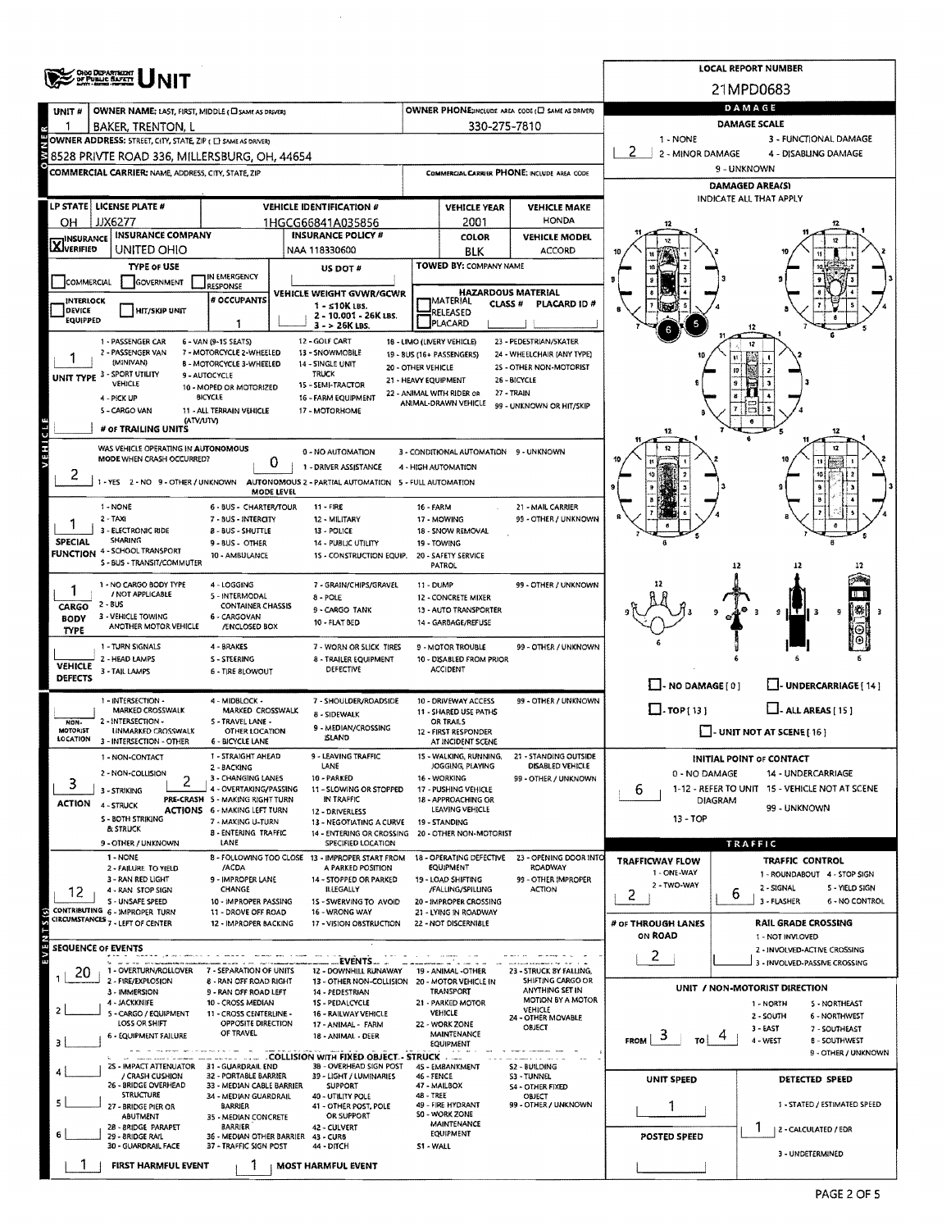|                           | <b>OHIO DEPARTMENT</b><br>OF PUBLIC BAFETY                       |                                                             |                                                                         | <b>LOCAL REPORT NUMBER</b> |                                                               |                                                       |                                   |                                                                    |  |  |  |  |  |
|---------------------------|------------------------------------------------------------------|-------------------------------------------------------------|-------------------------------------------------------------------------|----------------------------|---------------------------------------------------------------|-------------------------------------------------------|-----------------------------------|--------------------------------------------------------------------|--|--|--|--|--|
|                           |                                                                  |                                                             |                                                                         |                            |                                                               |                                                       | 21MPD0683                         |                                                                    |  |  |  |  |  |
| UNIT#                     | OWNER NAME: LAST, FIRST, MIDDLE (C) SAME AS DRIVER)              |                                                             |                                                                         |                            |                                                               | OWNER PHONE; INCLUDE AREA CODE (L) SAME AS DRIVER)    | DAMAGE                            |                                                                    |  |  |  |  |  |
|                           | <b>BAKER, TRENTON, L</b>                                         |                                                             |                                                                         |                            | 330-275-7810                                                  |                                                       | <b>DAMAGE SCALE</b>               |                                                                    |  |  |  |  |  |
|                           | OWNER ADDRESS: STREET, CITY, STATE, ZIP ( [ ] SAME AS DRIVERS    |                                                             |                                                                         |                            |                                                               |                                                       | 1 - NONE<br>3 - FUNCTIONAL DAMAGE |                                                                    |  |  |  |  |  |
|                           | 8528 PRIVTE ROAD 336, MILLERSBURG, OH, 44654                     |                                                             |                                                                         |                            |                                                               |                                                       | 2<br>2 - MINOR DAMAGE             | 4 - DISABLING DAMAGE                                               |  |  |  |  |  |
|                           | COMMERCIAL CARRIER; NAME, ADDRESS, CITY, STATE, ZIP              |                                                             |                                                                         |                            |                                                               | COMMERCIAL CARRIER PHONE: INCLUDE AREA CODE           |                                   | 9 - UNKNOWN                                                        |  |  |  |  |  |
|                           |                                                                  |                                                             |                                                                         |                            |                                                               |                                                       |                                   | DAMAGED AREA(S)                                                    |  |  |  |  |  |
|                           | LP STATE   LICENSE PLATE #                                       |                                                             | <b>VEHICLE IDENTIFICATION #</b>                                         |                            | <b>VEHICLE YEAR</b>                                           | <b>VEHICLE MAKE</b>                                   |                                   | INDICATE ALL THAT APPLY                                            |  |  |  |  |  |
| OН                        | JJX6277                                                          |                                                             | 1HGCG66841A035856                                                       |                            | 2001                                                          | <b>HONDA</b>                                          |                                   |                                                                    |  |  |  |  |  |
| <b>INSURANCE</b>          | <b>INSURANCE COMPANY</b>                                         |                                                             | <b>INSURANCE POLICY #</b>                                               |                            | COLOR                                                         | <b>VEHICLE MODEL</b>                                  |                                   |                                                                    |  |  |  |  |  |
| <b>X</b> VERIFIED         | UNITED OHIO                                                      |                                                             | NAA 118330600                                                           |                            | <b>BLK</b>                                                    | <b>ACCORD</b>                                         |                                   |                                                                    |  |  |  |  |  |
|                           | TYPE OF USE                                                      |                                                             | US DOT #                                                                |                            | TOWED BY: COMPANY NAME                                        |                                                       |                                   |                                                                    |  |  |  |  |  |
| COMMERCIAL                | GOVERNMENT                                                       | IN EMERGENCY<br><b>RESPONSE</b>                             |                                                                         |                            |                                                               |                                                       |                                   |                                                                    |  |  |  |  |  |
| INTERLOCK                 |                                                                  | # OCCUPANTS                                                 | VEHICLE WEIGHT GVWR/GCWR                                                |                            | <b>HAZARDOUS MATERIAL</b><br><b>MATERIAL</b><br><b>CLASS#</b> | PLACARD ID #                                          |                                   |                                                                    |  |  |  |  |  |
| DEVICE<br><b>EQUIPPED</b> | <b>HIT/SKIP UNIT</b>                                             |                                                             | $1 - 510K$ LBS.<br>2 - 10.001 - 26K LBS.                                |                            | RELEASED                                                      |                                                       |                                   |                                                                    |  |  |  |  |  |
|                           |                                                                  |                                                             | $3 - 26K$ LBS.                                                          |                            | PLACARD                                                       |                                                       |                                   |                                                                    |  |  |  |  |  |
|                           | 1 - PASSENGER CAR                                                | 6 - VAN (9-15 SEATS)                                        | 12 - GOLF CART                                                          |                            | 18 - LIMO (LIVERY VEHICLE)                                    | 23 - PEDESTRIAN/SKATER                                |                                   | 12                                                                 |  |  |  |  |  |
|                           | 2 - PASSENGER VAN<br>(MINIVAN)                                   | 7 - MOTORCYCLE 2-WHEELED<br><b>B - MOTORCYCLE 3-WHEELED</b> | 13 - SNOWMOBILE<br>14 - SINGLE UNIT                                     | 20 - OTHER VEHICLE         | 19 - BUS (16+ PASSENGERS)                                     | 24 - WHEELCHAIR (ANY TYPE)<br>25 - OTHER NON-MOTORIST |                                   |                                                                    |  |  |  |  |  |
|                           | UNIT TYPE 3 - SPORT UTILITY<br>VEHICLE                           | 9 - AUTOCYCLE                                               | TRUCK                                                                   | 21 - HEAVY EQUIPMENT       |                                                               | 26 - BICYCLE                                          |                                   |                                                                    |  |  |  |  |  |
|                           | 4 - PICK UP                                                      | 10 - MOPED OR MOTORIZED<br><b>BICYCLE</b>                   | 15 - SEMI-TRACTOR<br>16 - FARM EQUIPMENT                                |                            | 22 - ANIMAL WITH RIDER OR                                     | 27 - TRAIN                                            |                                   |                                                                    |  |  |  |  |  |
|                           | 5 - CARGO VAN                                                    | 11 - ALL TERRAIN VEHICLE                                    | 17 - MOTORHOME                                                          |                            | ANIMAL-DRAWN VEHICLE                                          | 99 - UNKNOWN OR HIT/SKIP                              |                                   |                                                                    |  |  |  |  |  |
|                           | (ATV/UTV)<br># OF TRAILING UNITS                                 |                                                             |                                                                         |                            |                                                               |                                                       | 12                                | 12                                                                 |  |  |  |  |  |
|                           |                                                                  |                                                             |                                                                         |                            |                                                               |                                                       |                                   |                                                                    |  |  |  |  |  |
| <b>VEHICLE</b>            | WAS VEHICLE OPERATING IN AUTONOMOUS<br>MODE WHEN CRASH OCCURRED? |                                                             | 0 - NO AUTOMATION                                                       |                            | 3 - CONDITIONAL AUTOMATION 9 - UNKNOWN                        |                                                       |                                   | 12                                                                 |  |  |  |  |  |
| z                         |                                                                  | 0                                                           | 1 - DRIVER ASSISTANCE                                                   |                            | 4 - HIGH AUTOMATION                                           |                                                       |                                   | 10                                                                 |  |  |  |  |  |
|                           | 1-YES 2-NO 9 OTHER / UNKNOWN                                     | <b>MODE LEVEL</b>                                           | AUTONOMOUS 2 - PARTIAL AUTOMATION 5 - FULL AUTOMATION                   |                            |                                                               |                                                       |                                   |                                                                    |  |  |  |  |  |
|                           | 1 - NONE                                                         | 6 - BUS - CHARTER/TOUR                                      | 11 - FIRE                                                               | 16 - FARM                  |                                                               | 21 - MAIL CARRIER                                     |                                   |                                                                    |  |  |  |  |  |
|                           | $2 - TAXI$                                                       | 7 - BUS - INTERCITY                                         | 12 - MILITARY                                                           |                            | 17 - MOWING                                                   | 99 - OTHER / UNKNOWN                                  |                                   |                                                                    |  |  |  |  |  |
|                           | 3 - ELECTRONIC RIDE                                              | <b>B-BUS-SHUTTLE</b>                                        | 13 - POLICE                                                             |                            | 18 - SNOW REMOVAL                                             |                                                       |                                   |                                                                    |  |  |  |  |  |
| <b>SPECIAL</b>            | SHARING<br><b>FUNCTION 4 - SCHOOL TRANSPORT</b>                  | 9 - BUS - OTHER<br>10 - AMBULANCE                           | <b>14 - PUBLIC UTILITY</b><br>15 - CONSTRUCTION EQUIP.                  |                            | 19 - TOWING<br>20 - SAFETY SERVICE                            |                                                       |                                   |                                                                    |  |  |  |  |  |
|                           | S - BUS - TRANSIT/COMMUTER                                       |                                                             |                                                                         |                            | <b>PATROL</b>                                                 |                                                       |                                   |                                                                    |  |  |  |  |  |
|                           | 1 - NO CARGO BODY TYPE                                           | 4 - LOGGING                                                 | 7 - GRAIN/CHIPS/GRAVEL                                                  | 11 - DUMP                  |                                                               | 99 - OTHER / UNKNOWN                                  |                                   |                                                                    |  |  |  |  |  |
|                           | / NOT APPLICABLE                                                 | 5 - INTERMODAL                                              | 8 - POLE                                                                |                            | 12 - CONCRETE MIXER                                           |                                                       |                                   |                                                                    |  |  |  |  |  |
| CARGO<br><b>BODY</b>      | 2 - BUS<br>3 - VEHICLE TOWING                                    | <b>CONTAINER CHASSIS</b><br>6 - CARGOVAN                    | 9 - CARGO TANK                                                          |                            | 13 - AUTO TRANSPORTER                                         |                                                       |                                   | g<br>l 3                                                           |  |  |  |  |  |
| TYPE                      | ANOTHER MOTOR VEHICLE                                            | /ENCLOSED BOX                                               | <b>10 - FLAT BED</b>                                                    |                            | 14 - GARBAGE/REFUSE                                           |                                                       |                                   |                                                                    |  |  |  |  |  |
|                           | 1 - TURN SIGNALS                                                 | 4 - BRAKES                                                  | 7 - WORN OR SLICK TIRES                                                 |                            | 9 - MOTOR TROUBLE                                             | 99 - OTHER / UNKNOWN                                  |                                   |                                                                    |  |  |  |  |  |
| <b>VEHICLE</b>            | 2 - HEAD LAMPS                                                   | S-STEERING                                                  | 8 - TRAILER EQUIPMENT                                                   |                            | 10 - DISABLED FROM PRIOR                                      |                                                       |                                   |                                                                    |  |  |  |  |  |
| <b>DEFECTS</b>            | 3 - TAIL LAMPS                                                   | <b>6 - TIRE SLOWOUT</b>                                     | DEFECTIVE                                                               |                            | <b>ACCIDENT</b>                                               |                                                       |                                   |                                                                    |  |  |  |  |  |
|                           |                                                                  |                                                             |                                                                         |                            |                                                               |                                                       | $\Box$ - NO DAMAGE [ 0 ]          | L- UNDERCARRIAGE [ 14 ]                                            |  |  |  |  |  |
|                           | 1 - INTERSECTION -<br><b>MARKED CROSSWALK</b>                    | 4 - MIDBLOCK -<br>MARKED CROSSWALK                          | 7 - SHOULDER/ROADSIDE<br>8 - SIDEWALK                                   |                            | 10 - DRIVEWAY ACCESS<br>11 - SHARED USE PATHS                 | 99 - OTHER / UNKNOWN                                  | $\Box$ -TOP(13)                   | $\Box$ - ALL AREAS [ 15 ]                                          |  |  |  |  |  |
| NON-<br><b>MOTORIST</b>   | 2 - INTERSECTION -                                               | S - TRAVEL LANE -                                           | 9 - MEDIAN/CROSSING                                                     |                            | OR TRAILS                                                     |                                                       |                                   |                                                                    |  |  |  |  |  |
| LOCATION                  | <b>UNMARKED CROSSWALK</b><br>3 - INTERSECTION - OTHER            | <b>OTHER LOCATION</b><br><b>6 - BICYCLE LANE</b>            | <b>ISLAND</b>                                                           |                            | 12 - FIRST RESPONDER<br>AT INCIDENT SCENE                     |                                                       |                                   | $\Box$ - UNIT NOT AT SCENE [16]                                    |  |  |  |  |  |
|                           | 1 - NON-CONTACT                                                  | 1 - STRAIGHT AHEAD                                          | 9 - LEAVING TRAFFIC                                                     |                            | 15 - WALKING, RUNNING,                                        | 21 - STANDING OUTSIDE                                 |                                   | <b>INITIAL POINT OF CONTACT</b>                                    |  |  |  |  |  |
|                           | 2 - NON-COLLISION                                                | 2 - BACKING                                                 | LANE                                                                    |                            | JOGGING, PLAYING<br>16 - WORKING                              | DISABLED VEHICLE                                      | 0 - NO DAMAGE                     | 14 - UNDERCARRIAGE                                                 |  |  |  |  |  |
| 3                         | 2<br>3 - STRIKING                                                | 3 - CHANGING LANES<br>4 - OVERTAKING/PASSING                | 10 - PARKED<br>11 - SLOWING OR STOPPED                                  |                            | 17 - PUSHING VEHICLE                                          | 99 - OTHER / UNKNOWN                                  | b                                 | 1-12 - REFER TO UNIT 15 - VEHICLE NOT AT SCENE                     |  |  |  |  |  |
| ACTION                    | 4 - STRUCK                                                       | PRE-CRASH S - MAKING RIGHT TURN                             | IN TRAFFIC                                                              |                            | 18 - APPROACHING OR                                           |                                                       |                                   | <b>DIAGRAM</b><br>99 - UNKNOWN                                     |  |  |  |  |  |
|                           | <b>S - BOTH STRIKING</b>                                         | <b>ACTIONS 6 - MAKING LEFT TURN</b><br>7 - MAKING U-TURN    | 12 - DRIVERLESS<br>13 - NEGOTIATING A CURVE                             |                            | LEAVING VEHICLE<br>19 - STANDING                              |                                                       | 13 - TOP                          |                                                                    |  |  |  |  |  |
|                           | & STRUCK                                                         | <b>B-ENTERING TRAFFIC</b>                                   | 14 ENTERING OR CROSSING 20 - OTHER NON-MOTORIST                         |                            |                                                               |                                                       |                                   |                                                                    |  |  |  |  |  |
|                           | 9 - OTHER / UNKNOWN                                              | LANE                                                        | SPECIFIED LOCATION                                                      |                            |                                                               |                                                       |                                   | <b>TRAFFIC</b>                                                     |  |  |  |  |  |
|                           | 1 - NONE<br>2 - FAILURE TO YIELD                                 | /ACDA                                                       | 8 - FOLLOWING TOO CLOSE 13 - IMPROPER START FROM<br>A PARKED POSITION   |                            | 18 - OPERATING DEFECTIVE<br>EQUIPMENT                         | 23 - OPENING DOOR INTO<br>ROADWAY                     | <b>TRAFFICWAY FLOW</b>            | TRAFFIC CONTROL                                                    |  |  |  |  |  |
|                           | 3 - RAN RED LIGHT                                                | 9 - IMPROPER LANE                                           | 14 - STOPPED OR PARKED                                                  |                            | 19 - LOAD SHIFTING                                            | 99 - OTHER IMPROPER                                   | 1 - ONE-WAY<br>2 - TWO-WAY        | 1 - ROUNDABOUT 4 - STOP SIGN                                       |  |  |  |  |  |
| 12                        | 4 - RAN STOP SIGN<br>S - UNSAFE SPEED                            | CHANGE<br>10 - IMPROPER PASSING                             | <b>ILLEGALLY</b><br>1S - SWERVING TO AVOID                              |                            | /FALLING/SPILLING<br>20 - IMPROPER CROSSING                   | <b>ACTION</b>                                         | 2                                 | 2 - SIGNAL<br>S - YIELD SIGN<br>6<br>3 - FLASHER<br>6 - NO CONTROL |  |  |  |  |  |
|                           | CONTRIBUTING 6 - IMPROPER TURN                                   | 11 - DROVE OFF ROAD                                         | 16 - WRONG WAY                                                          |                            | 21 - LYING IN ROADWAY                                         |                                                       |                                   |                                                                    |  |  |  |  |  |
|                           | CIRCUMSTANCES 7 - LEFT OF CENTER                                 | 12 - IMPROPER BACKING                                       | 17 - VISION OBSTRUCTION                                                 |                            | 22 - NOT DISCERNIBLE                                          |                                                       | # or THROUGH LANES                | <b>RAIL GRADE CROSSING</b>                                         |  |  |  |  |  |
| <b>SEQUENCE OF EVENTS</b> |                                                                  |                                                             |                                                                         |                            |                                                               |                                                       | ON ROAD                           | 1 - NOT INVLOVED<br>2 - INVOLVED-ACTIVE CROSSING                   |  |  |  |  |  |
|                           |                                                                  |                                                             | EVENTS.                                                                 |                            |                                                               |                                                       | 2                                 | 3 - INVOLVED-PASSIVE CROSSING                                      |  |  |  |  |  |
| 20                        | 1 - OVERTURN/ROLLOVER<br>2 - FIRE/EXPLOSION                      | 7 - SEPARATION OF UNITS<br>8 - RAN OFF ROAD RIGHT           | 12 - DOWNHILL RUNAWAY<br>13 - OTHER NON-COLLISION 20 - MOTOR VEHICLE IN |                            | 19 - ANIMAL -OTHER                                            | 23 - STRUCK BY FALLING,<br>SHIFTING CARGO OR          |                                   |                                                                    |  |  |  |  |  |
|                           | 3 - IMMERSION                                                    | 9 - RAN OFF ROAD LEFT                                       | 14 - PEDESTRIAN                                                         |                            | <b>TRANSPORT</b>                                              | ANYTHING SET IN                                       |                                   | UNIT / NON-MOTORIST DIRECTION                                      |  |  |  |  |  |
|                           | 4 - JACKKNIFE<br>5 - CARGO / EQUIPMENT                           | 10 - CROSS MEDIAN<br>11 - CROSS CENTERLINE -                | 15 - PEDALCYCLE<br>16 - RAILWAY VEHICLE                                 |                            | 21 - PARKED MOTOR<br><b>VEHICLE</b>                           | MOTION BY A MOTOR<br>VEHICLE                          |                                   | 5 - NORTHEAST<br>1 - NORTH                                         |  |  |  |  |  |
|                           | LOSS OR SHIFT                                                    | <b>OPPOSITE DIRECTION</b>                                   | 17 - ANIMAL - FARM                                                      |                            | 22 - WORK ZONE                                                | 24 - OTHER MOVABLE<br>OBJECT                          |                                   | $2 - SOLTH$<br>6 - NORTHWEST<br>3 - EAST<br>7 - SOUTHEAST          |  |  |  |  |  |
|                           | 6 - EQUIPMENT FAILURE                                            | OF TRAVEL                                                   | 18 - ANIMAL - DEER                                                      |                            | MAINTENANCE<br>EQUIPMENT                                      |                                                       | ್<br><b>FROM</b><br>т٥            | 4 - WEST<br><b>B-SOUTHWEST</b>                                     |  |  |  |  |  |
|                           |                                                                  |                                                             | .COLLISION WITH FIXED OBJECT - STRUCK                                   |                            |                                                               |                                                       |                                   | 9 - OTHER / UNKNOWN                                                |  |  |  |  |  |
|                           | 25 - IMPACT ATTENUATOR 31 - GUARDRAIL END                        |                                                             | 3B - OVERHEAD SIGN POST                                                 |                            | 45 - EMBANKMENT                                               | S2 - BUILDING                                         |                                   |                                                                    |  |  |  |  |  |
|                           | / CRASH CUSHION<br>26 - BRIDGE OVERHEAD                          | 32 - PORTABLE BARRIER<br>33 - MEDIAN CABLE BARRIER          | 39 - LIGHT / LUMINARIES<br>SUPPORT                                      | 46 - FENCE                 | 47 - MAILBOX                                                  | 53 - TUNNEL<br>54 - OTHER FIXED                       | <b>UNIT SPEED</b>                 | <b>DETECTED SPEED</b>                                              |  |  |  |  |  |
|                           | <b>STRUCTURE</b>                                                 | 34 - MEDIAN GUARDRAIL<br><b>BARRIER</b>                     | 40 - UTILITY POLE<br>41 - OTHER POST, POLE                              | 48 - TREE                  | 49 - FIRE HYDRANT                                             | OBJECT<br>99 - OTHER / UNKNOWN                        |                                   | 1 - STATED / ESTIMATED SPEED                                       |  |  |  |  |  |
|                           | 27 - BRIDGE PIER OR<br>ABUTMENT                                  | 35 - MEDIAN CONCRETE                                        | OR SUPPORT                                                              |                            | 50 - WORK ZONE                                                |                                                       |                                   |                                                                    |  |  |  |  |  |
|                           | 28 - 8RIDGE PARAPET<br>29 - BRIDGE RAIL                          | <b>BARRIER</b><br>36 - MEDIAN OTHER BARRIER 43 - CURB       | 42 - CULVERT                                                            |                            | MAINTENANCE<br>EQUIPMENT                                      |                                                       | POSTED SPEED                      | 2 - CALCULATED / EDR                                               |  |  |  |  |  |
|                           | 30 - GUARDRAIL FACE                                              | 37 - TRAFFIC SIGN POST                                      | 44 - DITCH                                                              | S1 - WALL                  |                                                               |                                                       |                                   | 3 - UNDETERMINED                                                   |  |  |  |  |  |
|                           | <b>FIRST HARMFUL EVENT</b>                                       |                                                             | <b>MOST HARMFUL EVENT</b>                                               |                            |                                                               |                                                       |                                   |                                                                    |  |  |  |  |  |

 $\hat{\mathcal{A}}$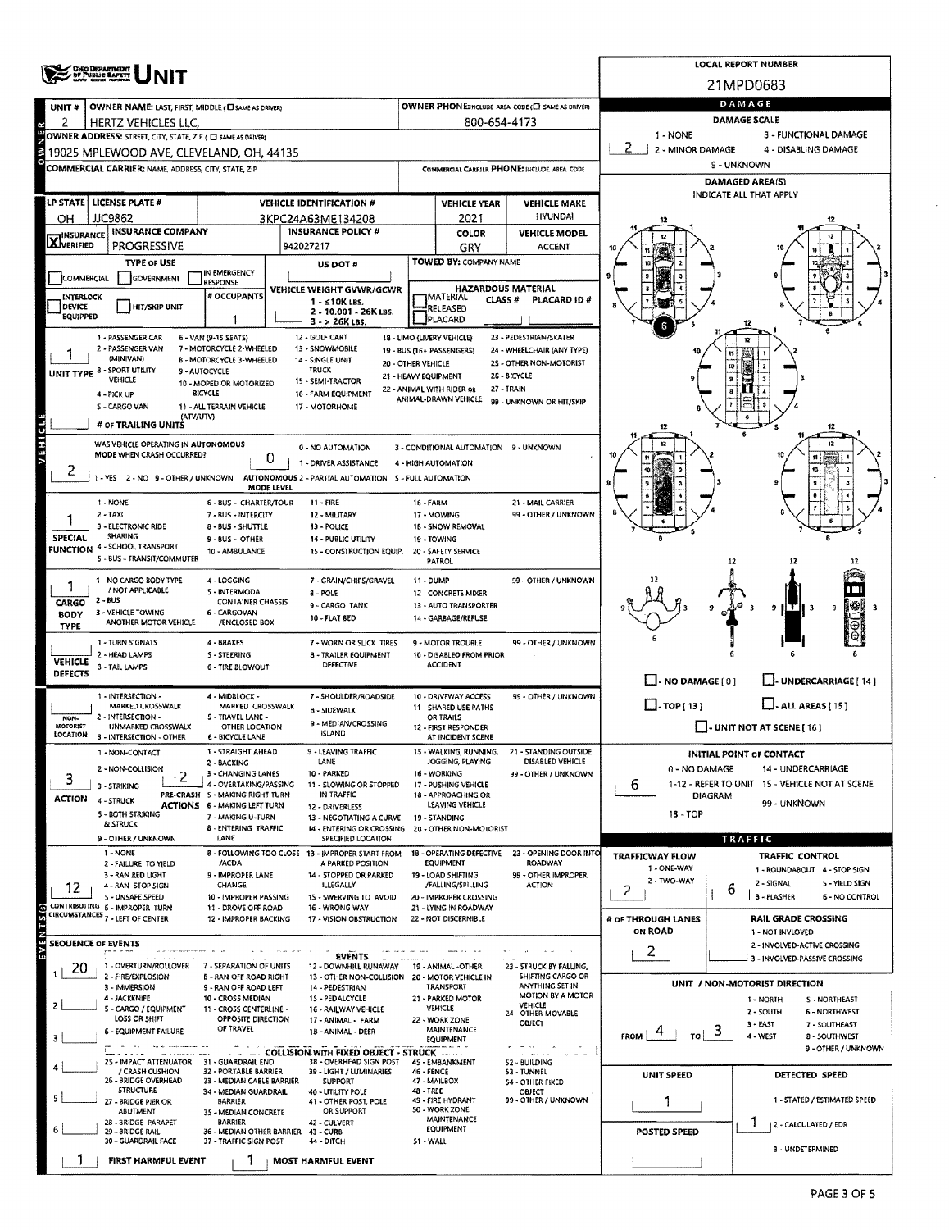|                           | ' CHIO DEPARTMENT<br>' DF PUBLIC BAPETY                            |                                                               |                                                           |             |                                                   |                                                                                                                                                   |                                                                                       | LOCAL REPORT NUMBER                                           |  |  |  |  |
|---------------------------|--------------------------------------------------------------------|---------------------------------------------------------------|-----------------------------------------------------------|-------------|---------------------------------------------------|---------------------------------------------------------------------------------------------------------------------------------------------------|---------------------------------------------------------------------------------------|---------------------------------------------------------------|--|--|--|--|
|                           |                                                                    |                                                               |                                                           |             |                                                   |                                                                                                                                                   |                                                                                       | 21MPD0683                                                     |  |  |  |  |
| UNIT#                     | OWNER NAME: LAST, FIRST, MIDDLE (C) SAME AS DRIVERY                |                                                               |                                                           | DAMAGE      |                                                   |                                                                                                                                                   |                                                                                       |                                                               |  |  |  |  |
| 2                         | HERTZ VEHICLES LLC.                                                |                                                               |                                                           |             | 800-654-4173                                      |                                                                                                                                                   |                                                                                       | <b>DAMAGE SCALE</b>                                           |  |  |  |  |
|                           | OWNER ADDRESS: STREET, CITY, STATE, ZIP ( C SAME AS DRIVER)        |                                                               |                                                           |             |                                                   |                                                                                                                                                   | 1 - NONE<br>2<br>2 - MINOR DAMAGE                                                     | 3 - FUNCTIONAL DAMAGE<br>4 - DISABLING DAMAGE                 |  |  |  |  |
| й                         | 19025 MPLEWOOD AVE, CLEVELAND, OH, 44135                           |                                                               |                                                           | 9 - UNKNOWN |                                                   |                                                                                                                                                   |                                                                                       |                                                               |  |  |  |  |
|                           | COMMERCIAL CARRIER: NAME, ADDRESS, CITY, STATE, ZIP                |                                                               | DAMAGED AREA(S)                                           |             |                                                   |                                                                                                                                                   |                                                                                       |                                                               |  |  |  |  |
|                           | LP STATE   LICENSE PLATE #                                         | <b>VEHICLE IDENTIFICATION #</b>                               | INDICATE ALL THAT APPLY                                   |             |                                                   |                                                                                                                                                   |                                                                                       |                                                               |  |  |  |  |
| он                        | <b>JJC9862</b>                                                     |                                                               | 3KPC24A63ME134208                                         |             | <b>VEHICLE YEAR</b><br>2021                       | <b>VEHICLE MAKE</b><br><b>HYUNDAI</b>                                                                                                             |                                                                                       |                                                               |  |  |  |  |
|                           | <b>INSURANCE COMPANY</b>                                           |                                                               | <b>INSURANCE POLICY #</b>                                 |             | COLOR                                             | <b>VEHICLE MODEL</b>                                                                                                                              |                                                                                       |                                                               |  |  |  |  |
| <b>X</b> INSURANCE        | <b>PROGRESSIVE</b>                                                 |                                                               | 942027217                                                 |             | GRY                                               | <b>ACCENT</b>                                                                                                                                     |                                                                                       |                                                               |  |  |  |  |
|                           | <b>TYPE OF USE</b>                                                 | IN EMERGENCY                                                  | US DOT #                                                  |             | TOWED BY: COMPANY NAME                            |                                                                                                                                                   |                                                                                       |                                                               |  |  |  |  |
| COMMERCIAL                | <b>GOVERNMENT</b>                                                  | <b>RESPONSE</b>                                               | VEHICLE WEIGHT GVWR/GCWR                                  |             | <b>HAZARDOUS MATERIAL</b>                         |                                                                                                                                                   |                                                                                       |                                                               |  |  |  |  |
| INTERLOCK<br>DEVICE       | HIT/SKIP UNIT                                                      | # OCCUPANTS                                                   | 1 - ≤10K LBS.                                             |             | IMATERIAL<br><b>CLASS #</b><br>RELEASED           | PLACARD ID#                                                                                                                                       |                                                                                       |                                                               |  |  |  |  |
| EQUIPPED                  |                                                                    | 1                                                             | 2 - 10.001 - 26K LBS.<br>$3 - 26K$ LBS.                   |             | PLACARD                                           |                                                                                                                                                   |                                                                                       |                                                               |  |  |  |  |
|                           | 1 - PASSENGER CAR                                                  | 6 - VAN (9-15 SEATS)                                          | 12 GOLF CART                                              |             | 18 - LIMO (LIVERY VEHICLE)                        | 23 - PEDESTRIAN/SKATER                                                                                                                            |                                                                                       | 12                                                            |  |  |  |  |
|                           | 2 - PASSENGER VAN<br>(MINIVAN)                                     | 7 - MOTORCYCLE 2-WHEELED<br>B - MOTORCYCLE 3-WHEELED          | 13 - SNOWMOBILE<br>14 - SINGLE UNIT<br>20 - OTHER VEHICLE |             | 19 - BUS (16+ PASSENGERS)                         | 24 - WHEELCHAIR (ANY TYPE)<br>2S - OTHER NON-MOTORIST                                                                                             |                                                                                       |                                                               |  |  |  |  |
|                           | UNIT TYPE 3 - SPORT UTILITY<br>VEHICLE                             | 9 - AUTOCYCLE<br>10 - MOPED OR MOTORIZED                      | <b>TRUCK</b><br>15 - SEMI-TRACTOR                         |             | 21 - HEAVY EQUIPMENT                              | 26 - BICYCLE                                                                                                                                      |                                                                                       |                                                               |  |  |  |  |
|                           | 4 - PICK UP                                                        | <b>BICYCLE</b>                                                | 16 - FARM EQUIPMENT                                       |             | 22 - ANIMAL WITH RIDER OR<br>ANIMAL-DRAWN VEHICLE | 27 - TRAIN<br>99 - UNKNOWN OR HIT/SKIP                                                                                                            |                                                                                       |                                                               |  |  |  |  |
|                           | S - CARGO VAN<br>(ATV/UTV)                                         | 11 - ALL TERRAIN VEHICLE                                      | 17 - MOTORHOME                                            |             |                                                   |                                                                                                                                                   |                                                                                       |                                                               |  |  |  |  |
|                           | # OF TRAILING UNITS                                                |                                                               |                                                           |             |                                                   |                                                                                                                                                   | 12                                                                                    | 12                                                            |  |  |  |  |
| <b>VEHICLE</b>            | WAS VEHICLE OPERATING IN AUTONOMOUS<br>MODE WHEN CRASH OCCURRED?   |                                                               | 0 - NO AUTOMATION                                         |             | 3 - CONDITIONAL AUTOMATION 9 - UNKNOWN            |                                                                                                                                                   |                                                                                       |                                                               |  |  |  |  |
| ۷                         |                                                                    | 0                                                             | 1 - DRIVER ASSISTANCE                                     |             | 4 - HIGH AUTOMATION                               |                                                                                                                                                   |                                                                                       |                                                               |  |  |  |  |
|                           | 1 - YES 2 - NO 9 - OTHER / UNKNOWN                                 | <b>MODE LEVEL</b>                                             | AUTONOMOUS 2 - PARTIAL AUTOMATION 5 - FULL AUTOMATION     |             |                                                   |                                                                                                                                                   |                                                                                       |                                                               |  |  |  |  |
|                           | 1 - NONE                                                           | <b>6 - BUS - CHARTER/TOUR</b>                                 | $11 - FIRE$                                               | 16 - FARM   |                                                   | 21 - MAIL CARRIER                                                                                                                                 |                                                                                       |                                                               |  |  |  |  |
|                           | $2 - TAX$<br>3 - ELECTRONIC RIDE                                   | 7 - BUS - INTERCITY<br>8 - BUS - SHUTTLE                      | 12 - MILITARY<br>13 - POLICE                              |             | 17 - MOWING<br>18 - SNOW REMOVAL                  | 99 - OTHER / UNKNOWN                                                                                                                              |                                                                                       |                                                               |  |  |  |  |
| SPECIAL                   | <b>SHARING</b>                                                     | 9 - BUS - OTHER                                               | 14 - PUBLIC UTILITY                                       |             | 19 - TOWING                                       |                                                                                                                                                   |                                                                                       |                                                               |  |  |  |  |
|                           | <b>FUNCTION 4 - SCHOOL TRANSPORT</b><br>S - BUS - TRANSIT/COMMUTER | 10 - AMBULANCE                                                | 15 - CONSTRUCTION EQUIP.                                  |             | 20 - SAFETY SERVICE<br>PATROL                     |                                                                                                                                                   |                                                                                       | 12                                                            |  |  |  |  |
|                           | 1 - NO CARGO BODY TYPE                                             | 4 - LOGGING                                                   | 7 - GRAIN/CHIPS/GRAVEL                                    | 11 - DUMP   |                                                   | 99 - OTHER / UNKNOWN                                                                                                                              |                                                                                       |                                                               |  |  |  |  |
|                           | / NOT APPLICABLE                                                   | S - INTERMODAL                                                | 8 - POLE                                                  |             | 12 - CONCRETE MIXER                               |                                                                                                                                                   |                                                                                       |                                                               |  |  |  |  |
| CARGO<br><b>BODY</b>      | $2 - BUS$<br>3 - VEHICLE TOWING                                    | <b>CONTAINER CHASSIS</b><br><b>6 - CARGOVAN</b>               | 9 - CARGO TANK                                            |             | 13 - AUTO TRANSPORTER                             |                                                                                                                                                   |                                                                                       | 838<br>9<br>9<br>$\mathbf{H}$                                 |  |  |  |  |
| <b>TYPE</b>               | ANOTHER MOTOR VEHICLE                                              | /ENCLOSED BOX                                                 | <b>10 - FLAT BED</b>                                      |             | 14 - GARBAGE/REFUSE                               |                                                                                                                                                   |                                                                                       |                                                               |  |  |  |  |
|                           | 1 - TURN SIGNALS<br>2 - HEAD LAMPS                                 | 4 - BRAKES<br>S - STEERING                                    | 7 - WORN OR SLICK TIRES                                   |             | 9 - MOTOR TROUBLE<br>10 - DISABLEO FROM PRIOR     | 99 - OTHER / UNKNOWN                                                                                                                              |                                                                                       |                                                               |  |  |  |  |
| <b>VEHICLE</b><br>DEFECTS | 3 - TAIL LAMPS                                                     | 6 - TIRE BLOWOUT                                              | 8 - TRAILER EQUIPMENT<br>DEFECTIVE                        |             | <b>ACCIDENT</b>                                   |                                                                                                                                                   |                                                                                       |                                                               |  |  |  |  |
|                           |                                                                    |                                                               |                                                           |             |                                                   |                                                                                                                                                   | $\Box$ - NO DAMAGE [ 0 ]                                                              | L. UNDERCARRIAGE [ 14 ]                                       |  |  |  |  |
|                           | 1 - INTERSECTION -<br>MARKED CROSSWALK                             | 4 - MIDBLOCK -<br>MARKED CROSSWALK                            | 7 - SHOULDER/ROADSIDE<br><b>8 - SIDEWALK</b>              |             | 10 - DRIVEWAY ACCESS<br>11 - SHARED USE PATHS     | 99 - OTHER / UNKNOWN                                                                                                                              | $\Box$ -TOP[13]                                                                       | $\Box$ - ALL AREAS (15)                                       |  |  |  |  |
| NON-<br><b>MOTORIST</b>   | 2 - INTERSECTION -<br>UNMARKED CROSSWALK                           | S - TRAVEL LANE -<br>OTHER LOCATION                           | 9 - MEDIAN/CROSSING                                       |             | OR TRAILS<br>12 - FIRST RESPONDER                 |                                                                                                                                                   |                                                                                       | $\Box$ - UNIT NOT AT SCENE [ 16 ]                             |  |  |  |  |
| LOCATION                  | 3 - INTERSECTION - OTHER                                           | 6 - BICYCLE LANE                                              | <b>ISLAND</b>                                             |             | AT INCIDENT SCENE                                 |                                                                                                                                                   |                                                                                       |                                                               |  |  |  |  |
|                           | 1 - NON-CONTACT                                                    | 1 - STRAIGHT AHEAD<br>2 - BACKING                             | 9 - LEAVING TRAFFIC<br>LANE                               |             | 15 - WALKING, RUNNING,<br>JOGGING, PLAYING        | 21 - STANDING OUTSIDE<br>DISABLED VEHICLE                                                                                                         |                                                                                       | INITIAL POINT OF CONTACT                                      |  |  |  |  |
| 3                         | 2 - NON-COLLISION                                                  | 3 - CHANGING LANES                                            | 10 - PARKED                                               |             | 16 - WORKING                                      | 99 - OTHER / UNKNOWN                                                                                                                              | 0 - NO DAMAGE<br>14 - UNDERCARRIAGE                                                   |                                                               |  |  |  |  |
| <b>ACTION</b>             | 3 - STRIKING<br>4 - STRUCK                                         | 4 - OVERTAKING/PASSING<br>PRE-CRASH 5 - MAKING RIGHT TURN     | 11 - SLOWING OR STOPPED<br>IN TRAFFIC                     |             | 17 - PUSHING VEHICLE<br>18 - APPROACHING OR       |                                                                                                                                                   | 1-12 - REFER TO UNIT 15 - VEHICLE NOT AT SCENE<br>6<br><b>DIAGRAM</b><br>99 - UNKNOWN |                                                               |  |  |  |  |
|                           | 5 - BOTH STRIKING                                                  | <b>ACTIONS 6 - MAKING LEFT TURN</b><br>7 - MAKING U-TURN      | 12 - DRIVERLESS<br>13 - NEGOTIATING A CURVE               |             | LEAVING VEHICLE<br>19 - STANDING                  |                                                                                                                                                   | 13 - TOP                                                                              |                                                               |  |  |  |  |
|                           | & STRUCK<br>9 - OTHER / UNKNOWN                                    | 8 - ENTERING TRAFFIC<br>LANE                                  | 14 - ENTERING OR CROSSING<br>SPECIFIED LOCATION           |             | 20 - OTHER NON-MOTORIST                           |                                                                                                                                                   |                                                                                       |                                                               |  |  |  |  |
|                           | 1 - NONE                                                           |                                                               | 8 - FOLLOWING TOO CLOSE 13 - IMPROPER START FROM          |             | 18 - OPERATING DEFECTIVE                          | 23 - OPENING DOOR INTO                                                                                                                            | TRAFFICWAY FLOW                                                                       | TRAFFIC<br>TRAFFIC CONTROL                                    |  |  |  |  |
|                           | 2 - FAILURE TO YIELD<br>3 - RAN RED LIGHT                          | /ACDA<br>9 - IMPROPER LANE                                    | A PARKED POSITION<br>14 - STOPPED OR PARKED               |             | EQUIPMENT<br>19 - LOAD SHIFTING                   | ROADWAY<br>99 - OTHER IMPROPER                                                                                                                    | 1 - ONE-WAY                                                                           | 1 - ROUNDABOUT 4 - 5TOP 5IGN                                  |  |  |  |  |
| 12                        | 4 - RAN STOP SIGN                                                  | CHANGE                                                        | <b>ILLEGALLY</b>                                          |             | /FALLING/SPILLING                                 | <b>ACTION</b>                                                                                                                                     | 2 - TWO-WAY<br>2                                                                      | 2 - SIGNAL<br>5 - YIELD SIGN<br>6                             |  |  |  |  |
|                           | S - UNSAFE SPEED<br>CONTRIBUTING 6 - IMPROPER TURN                 | 10 - IMPROPER PASSING<br>11 - DROVE OFF ROAD                  | 15 - SWERVING TO AVOID<br>16 - WRONG WAY                  |             | 20 - IMPROPER CROSSING<br>21 - LYING IN ROADWAY   |                                                                                                                                                   |                                                                                       | 3 - FLASHER<br><b>6 - NO CONTROL</b>                          |  |  |  |  |
| EVENTS(s)                 | CIRCUMSTANCES <sub>7</sub> - LEFT OF CENTER                        | 12 - IMPROPER BACKING                                         | 17 - VISION OBSTRUCTION                                   |             | 22 - NOT DISCERNIBLE                              |                                                                                                                                                   | # of THROUGH LANES                                                                    | RAIL GRADE CROSSING                                           |  |  |  |  |
| <b>SEOUENCE OF EVENTS</b> |                                                                    |                                                               |                                                           |             |                                                   |                                                                                                                                                   | ON ROAD                                                                               | 1 - NOT INVLOVED<br>2 - INVOLVED-ACTIVE CROSSING              |  |  |  |  |
|                           | 1 - OVERTURN/ROLLOVER                                              | 7 - SEPARATION OF UNITS                                       | <b>EVENTS</b><br>12 - DOWNHILL RUNAWAY                    |             | 19 - ANIMAL -OTHER                                | 23 - STRUCK BY FALLING,                                                                                                                           | 2                                                                                     | 3 - INVOLVED-PASSIVE CROSSING                                 |  |  |  |  |
| 20                        | 2 - FIRE/EXPLOSION                                                 | <b>B - RAN OFF ROAD RIGHT</b>                                 | 13 - OTHER NON-COLLISION 20 - MOTOR VEHICLE IN            |             |                                                   | SHIFTING CARGO OR                                                                                                                                 |                                                                                       | UNIT / NON-MOTORIST DIRECTION                                 |  |  |  |  |
|                           | 3 - IMMERSION<br>4 - JACKKNIFE                                     | 9 - RAN OFF ROAD LEFT<br>10 - CROSS MEDIAN                    | 14 - PEDESTRIAN<br>15 - PEDALCYCLE                        |             | <b>TRANSPORT</b><br>21 - PARKED MOTOR             | ANYTHING SET IN<br>MOTION BY A MOTOR                                                                                                              |                                                                                       | 1 - NORTH<br><b>S - NORTHEAST</b>                             |  |  |  |  |
| 2                         | S - CARGO / EQUIPMENT<br>LOSS OR SHIFT                             | 11 - CROSS CENTERLINE -<br>OPPOSITE DIRECTION                 | 16 - RAILWAY VEHICLE<br>17 - ANIMAL - FARM                |             | <b>VEHICLE</b><br>22 - WORK ZONE                  | VEHICLE<br>24 - OTHER MOVABLE                                                                                                                     |                                                                                       | $2 - SOLTH$<br>6 - NORTHWEST                                  |  |  |  |  |
| 3                         | 6 - EQUIPMENT FAILURE                                              | OF TRAVEL                                                     | 18 - ANIMAL - DEER                                        |             | MAINTENANCE                                       | <b>OBJECT</b>                                                                                                                                     | <b>FROM</b><br>TO I                                                                   | $3 - EAST$<br>7 - SOUTHEAST<br>೨<br>4 - WEST<br>8 - SOUTHWEST |  |  |  |  |
|                           |                                                                    |                                                               | COLLISION WITH FIXED OBJECT - STRUCK                      |             | <b>EQUIPMENT</b>                                  | $\begin{array}{cccccccccccccc} \mathbf{m} & \mathbf{m} & \mathbf{m} & \mathbf{m} & \mathbf{m} & \mathbf{m} & \mathbf{m} & \mathbf{m} \end{array}$ |                                                                                       | 9 - OTHER / UNKNOWN                                           |  |  |  |  |
|                           | 25 - IMPACT ATTENUATOR 31 - GUARDRAIL END<br>/ CRASH CUSHION       | 32 - PORTABLE BARRIER                                         | 38 - OVERHEAD SIGN POST<br>39 - LIGHT / LUMINARIES        | 46 - FENCE  | 45 - EMBANKMENT                                   | 52 - BUILDING<br>53 - TUNNEL                                                                                                                      | <b>UNIT SPEED</b>                                                                     | DETECTED SPEED                                                |  |  |  |  |
|                           | 26 - BRIDGE OVERHEAD<br><b>STRUCTURE</b>                           | 33 - MEDIAN CABLE BARRIER<br>34 - MEDIAN GUARDRAIL            | <b>SUPPORT</b><br>40 - UTILITY POLE                       | 48 - TREE   | 47 - MAILBOX                                      | 54 - OTHER FIXED<br>OBJECT                                                                                                                        |                                                                                       |                                                               |  |  |  |  |
|                           | 27 - BRIDGE PIER OR                                                | <b>BARRIER</b>                                                | 41 - OTHER POST, POLE<br>OR SUPPORT                       |             | 49 - FIRE HYDRANT<br>50 - WORK ZONE               | 99 - OTHER / UNKNOWN                                                                                                                              |                                                                                       | 1 - STATED / ESTIMATED SPEED                                  |  |  |  |  |
|                           | ABUTMENT<br>28 - BRIDGE PARAPET                                    | 35 - MEDIAN CONCRETE<br><b>BARRIER</b>                        | 42 - CULVERT                                              |             | MAINTENANCE<br><b>EQUIPMENT</b>                   |                                                                                                                                                   |                                                                                       | ٦<br>2 - CALCULATED / EDR                                     |  |  |  |  |
|                           | 29 - BRIDGE RAIL<br>30 - GUARDRAIL FACE                            | 36 - MEDIAN OTHER BARRIER 43 - CURB<br>37 - TRAFFIC SIGN POST | 44 - DITCH                                                | 51 - WALL   |                                                   |                                                                                                                                                   | <b>POSTED SPEED</b>                                                                   |                                                               |  |  |  |  |
|                           | FIRST HARMFUL EVENT                                                |                                                               | <b>MOST HARMFUL EVENT</b>                                 |             |                                                   |                                                                                                                                                   |                                                                                       | 3 - UNDETERMINED                                              |  |  |  |  |

 $\mathcal{A}^{\mathcal{A}}$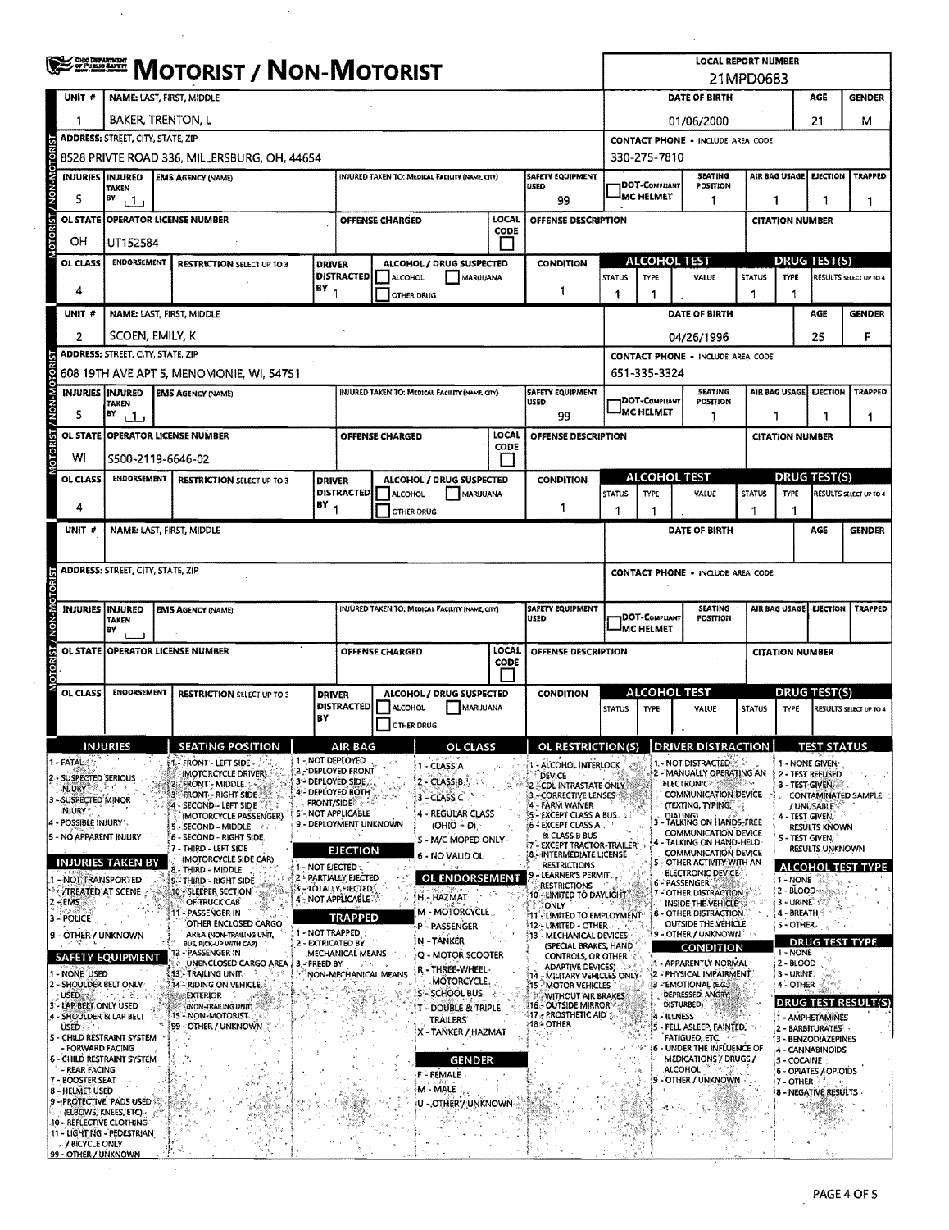|                                                                                                                   | <b><i>SEERERE MOTORIST / NON-MOTORIST</i></b> |                                          |                                                        |                                                                                                                                      |                                                                                                                                      |                                                                            |                                                                           |                                                                    |                                                         |                                                            |                                                | <b>LOCAL REPORT NUMBER</b><br>21MPD0683                    |                                                                    |                                   |                         |                                                    |                            |  |  |
|-------------------------------------------------------------------------------------------------------------------|-----------------------------------------------|------------------------------------------|--------------------------------------------------------|--------------------------------------------------------------------------------------------------------------------------------------|--------------------------------------------------------------------------------------------------------------------------------------|----------------------------------------------------------------------------|---------------------------------------------------------------------------|--------------------------------------------------------------------|---------------------------------------------------------|------------------------------------------------------------|------------------------------------------------|------------------------------------------------------------|--------------------------------------------------------------------|-----------------------------------|-------------------------|----------------------------------------------------|----------------------------|--|--|
| UNIT #                                                                                                            |                                               | NAME: LAST, FIRST, MIDDLE                |                                                        |                                                                                                                                      |                                                                                                                                      |                                                                            |                                                                           |                                                                    |                                                         |                                                            |                                                |                                                            | DATE OF BIRTH                                                      |                                   |                         | AGE                                                | <b>GENDER</b>              |  |  |
|                                                                                                                   | BAKER, TRENTON, L                             |                                          |                                                        |                                                                                                                                      |                                                                                                                                      |                                                                            |                                                                           |                                                                    |                                                         | 21<br>01/06/2000                                           |                                                |                                                            |                                                                    |                                   |                         | м                                                  |                            |  |  |
|                                                                                                                   |                                               | <b>ADDRESS: STREET, CITY, STATE, ZIP</b> |                                                        |                                                                                                                                      |                                                                                                                                      |                                                                            |                                                                           |                                                                    |                                                         |                                                            |                                                |                                                            | <b>CONTACT PHONE - INCLUDE AREA CODE</b>                           |                                   |                         |                                                    |                            |  |  |
|                                                                                                                   |                                               |                                          | 8528 PRIVTE ROAD 336, MILLERSBURG, OH, 44654           |                                                                                                                                      |                                                                                                                                      |                                                                            |                                                                           |                                                                    |                                                         |                                                            | 330-275-7810                                   |                                                            |                                                                    |                                   |                         |                                                    |                            |  |  |
| <b>INJURIES INJURED</b>                                                                                           | <b>TAKEN</b>                                  |                                          | <b>EMS AGENCY (NAME)</b>                               |                                                                                                                                      |                                                                                                                                      |                                                                            | INJURED TAKEN TO: MEDICAL FACILITY (NAME CITY)                            |                                                                    | <b>SAFETY EQUIPMENT</b><br><b>USED</b>                  |                                                            | DOT-COMPLIANT<br><b>MC HELMET</b>              |                                                            | <b>SEATING</b><br>POSITION                                         |                                   | <b>AIR BAG USAGE</b>    | <b>EJECTION</b>                                    | <b>TRAPPED</b>             |  |  |
| s                                                                                                                 | BY<br>ت 1 ن                                   |                                          | <b>OPERATOR LICENSE NUMBER</b>                         |                                                                                                                                      |                                                                                                                                      |                                                                            |                                                                           | LOCAL                                                              | 99                                                      |                                                            |                                                |                                                            | 1                                                                  |                                   | 1                       | 1                                                  | 1                          |  |  |
| <b>OL STATE</b>                                                                                                   |                                               |                                          |                                                        |                                                                                                                                      |                                                                                                                                      | OFFENSE CHARGED                                                            |                                                                           | <b>CODE</b>                                                        | OFFENSE DESCRIPTION                                     |                                                            |                                                |                                                            |                                                                    |                                   | <b>CITATION NUMBER</b>  |                                                    |                            |  |  |
| OH<br>OL CLASS                                                                                                    | UT152584<br><b>ENDORSEMENT</b>                |                                          | <b>RESTRICTION SELECT UP TO 3</b>                      |                                                                                                                                      |                                                                                                                                      |                                                                            |                                                                           |                                                                    | <b>CONDITION</b>                                        |                                                            | ALCOHOL TEST                                   |                                                            |                                                                    |                                   |                         | <b>DRUG TEST(S)</b>                                |                            |  |  |
|                                                                                                                   |                                               |                                          |                                                        | <b>DRIVER</b>                                                                                                                        | <b>DISTRACTED</b>                                                                                                                    | ALCOHOL                                                                    | ALCOHOL / DRUG SUSPECTED                                                  | MARUUANA                                                           |                                                         | <b>STATUS</b>                                              | <b>TYPE</b>                                    |                                                            | VALUE                                                              | <b>STATUS</b>                     | <b>TYPE</b>             |                                                    | RESULTS SELECT UP TO 4     |  |  |
| 4                                                                                                                 |                                               |                                          |                                                        | BY <sub>1</sub>                                                                                                                      |                                                                                                                                      |                                                                            | OTHER DRUG                                                                |                                                                    | 1                                                       | 1                                                          | 1                                              |                                                            |                                                                    | -1                                | -1                      |                                                    |                            |  |  |
| UNIT #                                                                                                            |                                               |                                          | NAME: LAST, FIRST, MIDDLE                              |                                                                                                                                      |                                                                                                                                      |                                                                            |                                                                           |                                                                    |                                                         |                                                            |                                                |                                                            | DATE OF BIRTH                                                      |                                   |                         | AGE                                                | <b>GENDER</b>              |  |  |
| 2                                                                                                                 | SCOEN, EMILY, K                               |                                          |                                                        |                                                                                                                                      |                                                                                                                                      |                                                                            |                                                                           |                                                                    |                                                         |                                                            |                                                |                                                            | 04/26/1996                                                         |                                   |                         | 25                                                 | F                          |  |  |
|                                                                                                                   | <b>ADDRESS: STREET, CITY, STATE, ZIP</b>      |                                          | 608 19TH AVE APT 5, MENOMONIE, WI, 54751               |                                                                                                                                      |                                                                                                                                      |                                                                            |                                                                           |                                                                    |                                                         |                                                            | 651-335-3324                                   |                                                            | <b>CONTACT PHONE - INCLUDE AREA CODE</b>                           |                                   |                         |                                                    |                            |  |  |
|                                                                                                                   |                                               |                                          | <b>INJURIES INJURED EMS AGENCY (NAME)</b>              |                                                                                                                                      |                                                                                                                                      |                                                                            | INJURED TAKEN TO: MEDICAL FACILITY (NAME CITY)                            |                                                                    | <b>SAFETY EQUIPMENT</b>                                 |                                                            |                                                |                                                            | <b>SEATING</b>                                                     |                                   | <b>AIR BAG USAGE!</b>   | <b>EJECTION</b>                                    | <b>TRAPPED</b>             |  |  |
| 5                                                                                                                 | <b>TAKEN</b><br>BY                            |                                          |                                                        |                                                                                                                                      |                                                                                                                                      |                                                                            |                                                                           |                                                                    | <b>USED</b><br>99                                       |                                                            | <b>DOT-COMPLIANT</b><br><sup>I</sup> MC HELMET |                                                            | POSITION<br>1                                                      |                                   | -1                      | 1                                                  |                            |  |  |
|                                                                                                                   | ر 1 ن                                         |                                          | OL STATE OPERATOR LICENSE NUMBER                       |                                                                                                                                      |                                                                                                                                      | OFFENSE CHARGED                                                            |                                                                           | LOCAL                                                              | OFFENSE DESCRIPTION                                     |                                                            |                                                |                                                            |                                                                    |                                   | <b>CITATION NUMBER</b>  |                                                    | 1                          |  |  |
| W١                                                                                                                | S500-2119-6646-02                             |                                          |                                                        |                                                                                                                                      |                                                                                                                                      |                                                                            |                                                                           | CODE<br>$\mathbf{I}$                                               |                                                         |                                                            |                                                |                                                            |                                                                    |                                   |                         |                                                    |                            |  |  |
| OL CLASS                                                                                                          | <b>ENDORSEMENT</b>                            |                                          | <b>RESTRICTION SELECT UP TO 3</b>                      | <b>DRIVER</b>                                                                                                                        |                                                                                                                                      |                                                                            | ALCOHOL / DRUG SUSPECTED                                                  |                                                                    | <b>CONDITION</b>                                        |                                                            | <b>ALCOHOL TEST</b>                            |                                                            |                                                                    |                                   |                         | <b>DRUG TEST(S)</b>                                |                            |  |  |
|                                                                                                                   |                                               |                                          |                                                        |                                                                                                                                      | <b>DISTRACTED</b>                                                                                                                    | ALCOHOL                                                                    |                                                                           | MARIJUANA                                                          |                                                         | STATUS                                                     | <b>TYPE</b>                                    |                                                            | VALUE                                                              | <b>STATUS</b>                     | <b>TYPE</b>             |                                                    | RESULTS SELECT UP TO 4     |  |  |
| 4                                                                                                                 |                                               |                                          |                                                        | BY                                                                                                                                   | 1                                                                                                                                    |                                                                            | <b>OTHER DRUG</b>                                                         |                                                                    | 1                                                       | 1                                                          | 1                                              |                                                            |                                                                    | 1                                 | -1                      |                                                    |                            |  |  |
| UNIT #                                                                                                            |                                               |                                          | NAME: LAST, FIRST, MIDDLE                              |                                                                                                                                      |                                                                                                                                      |                                                                            |                                                                           |                                                                    |                                                         |                                                            |                                                |                                                            | DATE OF BIRTH                                                      |                                   |                         | AGE                                                | <b>GENDER</b>              |  |  |
|                                                                                                                   | ADDRESS: STREET, CITY, STATE, ZIP             |                                          |                                                        |                                                                                                                                      |                                                                                                                                      |                                                                            |                                                                           |                                                                    |                                                         |                                                            |                                                |                                                            |                                                                    |                                   |                         |                                                    |                            |  |  |
|                                                                                                                   |                                               |                                          |                                                        |                                                                                                                                      |                                                                                                                                      |                                                                            |                                                                           |                                                                    |                                                         |                                                            |                                                |                                                            | <b>CONTACT PHONE - INCLUDE AREA CODE</b>                           |                                   |                         |                                                    |                            |  |  |
| <b>INJURIES INJURED</b>                                                                                           |                                               |                                          | <b>EMS AGENCY (NAME)</b>                               |                                                                                                                                      |                                                                                                                                      | INJURED TAKEN TO: MEDICAL FACILITY (NAME, CITY)<br><b>SAFETY EQUIPMENT</b> |                                                                           |                                                                    |                                                         |                                                            | <b>SEATING</b>                                 |                                                            |                                                                    |                                   |                         | AIR BAG USAGE<br><b>EJECTION</b><br><b>TRAPPED</b> |                            |  |  |
|                                                                                                                   | <b>TAKEN</b><br>8Y                            |                                          |                                                        |                                                                                                                                      |                                                                                                                                      | <b>USED</b>                                                                |                                                                           |                                                                    |                                                         | <b>DOT-COMPLIANT</b><br>POSITION<br><sup>J</sup> MC HELMET |                                                |                                                            |                                                                    |                                   |                         |                                                    |                            |  |  |
|                                                                                                                   |                                               |                                          | OL STATE OPERATOR LICENSE NUMBER                       |                                                                                                                                      | LOCAL<br>OFFENSE DESCRIPTION<br><b>OFFENSE CHARGED</b>                                                                               |                                                                            |                                                                           |                                                                    |                                                         |                                                            |                                                |                                                            |                                                                    | <b>CITATION NUMBER</b>            |                         |                                                    |                            |  |  |
|                                                                                                                   |                                               |                                          |                                                        |                                                                                                                                      |                                                                                                                                      |                                                                            |                                                                           | CODE                                                               |                                                         |                                                            |                                                |                                                            |                                                                    |                                   |                         |                                                    |                            |  |  |
| OL CLASS                                                                                                          | <b>ENOORSEMENT</b>                            |                                          | <b>RESTRICTION SELECT UP TO 3</b>                      |                                                                                                                                      | <b>DRIVER</b><br><b>DISTRACTED</b>                                                                                                   |                                                                            | ALCOHOL / DRUG SUSPECTED                                                  |                                                                    | <b>CONDITION</b>                                        |                                                            | <b>ALCOHOL TEST</b>                            |                                                            |                                                                    |                                   |                         | DRUG TEST(S)                                       |                            |  |  |
|                                                                                                                   |                                               |                                          |                                                        | BY                                                                                                                                   |                                                                                                                                      | ALCOHOL                                                                    | <b>OTHER DRUG</b>                                                         | MARIJUANA                                                          |                                                         | <b>STATUS</b>                                              | <b>TYPE</b>                                    |                                                            | VALUE                                                              | <b>STATUS</b>                     | TYPE                    |                                                    | RESULTS SELECT UP TO 4     |  |  |
|                                                                                                                   | INJURIES                                      |                                          | <b>SEATING POSITION</b>                                |                                                                                                                                      | AIR BAG                                                                                                                              |                                                                            |                                                                           | OL CLASS                                                           | OL RESTRICTION(S)                                       |                                                            |                                                |                                                            | <b>DRIVER DISTRACTION</b>                                          |                                   |                         | IBIRILI                                            |                            |  |  |
| $1 - FATAL$                                                                                                       |                                               |                                          | FRONT - LEFT SIDE                                      | 1 - NOT DEPLOYED                                                                                                                     | 2. DEPLOYED FRONT                                                                                                                    |                                                                            | 1 - CLASS A                                                               |                                                                    | - ALCOHOL INTERLOCK                                     |                                                            |                                                |                                                            | 1. NOT DISTRACTED & &                                              |                                   |                         | 1 - NONE GIVEN                                     |                            |  |  |
| 2 - SUSPECTED SERIOUS<br><b>INJURY &amp; LAND</b>                                                                 |                                               |                                          | (MOTORCYCLE DRIVER)<br>22 FRONT - MIDDLE.              | 3 - DEPLOYED SIDE                                                                                                                    | 4- DEPLOYED BOTH                                                                                                                     |                                                                            | $2 - CLASSB$                                                              |                                                                    | <b>DEVICE</b><br>CDL INTRASTATE ONLY                    |                                                            |                                                |                                                            | 2 - MANUALLY OPERATING AN<br>ELECTRONIC                            |                                   |                         | 2 - TEST REFUSED<br>3 - TEST GIVEN,                |                            |  |  |
| 3 - SUSPECTED MINOR<br><b>INJURY</b>                                                                              |                                               |                                          | <b>FRONT - RIGHT SIDE</b><br>4 - SECOND - LEFT SIDE    | <b>FRONT/SIDE</b>                                                                                                                    | 5'- NOT APPLICABLE                                                                                                                   |                                                                            | $3 - CLASSC$                                                              |                                                                    | -CORRECTIVE LENSES<br>- FARM WAIVER                     |                                                            |                                                |                                                            | <b>COMMUNICATION DEVICE</b><br>(TEXTING, TYPING,"                  |                                   |                         | / UNUSABLE                                         | <b>CONTAMINATED SAMPLE</b> |  |  |
| 4 - POSSIBLE INJURY '.<br>5 - NO APPARENT INJURY                                                                  |                                               |                                          | (MOTORCYCLE PASSENGER)<br>- SECOND - MIDDLE            |                                                                                                                                      | 4 - REGULAR CLASS<br>(5 - EXCEPT CLASS A BUS.<br>9 - DEPLOYMENT UNKNOWN<br>$(OHIO = D)$<br>:6 - EXCEPT CLASS A                       |                                                                            |                                                                           | <b>DIALINGL</b><br>- TALKING ON HANDS-FREE<br>COMMUNICATION DEVICE |                                                         |                                                            |                                                | 4 - TEST GIVEN,<br><b>RESULTS KNOWN</b><br>5 - TEST GIVEN, |                                                                    |                                   |                         |                                                    |                            |  |  |
|                                                                                                                   |                                               |                                          | 6 - SECOND - RIGHT SIDE.<br>! 7 - THIRD ~ LEFT SIDE    |                                                                                                                                      | & CLASS B BUS<br>S - M/C MOPED ONLY<br>7 - EXCEPT TRACTOR-TRAILER'<br><b>EJECTION</b><br>8 - INTERMEDIATE LICENSE<br>6 - NO VALID OL |                                                                            |                                                                           |                                                                    |                                                         |                                                            |                                                |                                                            | 4 - TALKING ON HAND-HELD<br>COMMUNICATION DEVICE                   |                                   |                         | RESULTS UNKNOWN                                    |                            |  |  |
| <b>INJURIES TAKEN BY</b><br>- NOT TRANSPORTED                                                                     |                                               |                                          | (MOTORCYCLE SIDE CAR)<br>8 - THIRD - MIDDLE            | 1 - Not ejected 1.                                                                                                                   | 2 - PARTIALLY EJECTED                                                                                                                |                                                                            |                                                                           | OL ENDORSEMENT                                                     | <b>RESTRICTIONS</b><br>LEARNER'S PERMIT                 |                                                            |                                                |                                                            | - OTHER ACTIVITY WITH AN<br>ELECTRONIC DEVICE                      |                                   | 1 - NONE                |                                                    | <b>ALCOHOL TEST TYPE</b>   |  |  |
| <b>TREATED AT SCENE</b>                                                                                           |                                               |                                          | 9 - THIRD - RIGHT SIDE<br>10 - SLEEPER SECTION         |                                                                                                                                      | S - TOTALLY, EJECTED :<br>4 NOT APPLICABLE.                                                                                          |                                                                            | H - HAZMAT                                                                |                                                                    | <b>RESTRICTIONS</b><br>10 - LIMITED TO DAYLIGHT         |                                                            |                                                |                                                            | 6 - PASSENGER<br>7 - OTHER DISTRACTION                             |                                   | 2 - BLOOD-              |                                                    |                            |  |  |
| $2 - EMS$<br>3 - POLICE                                                                                           |                                               |                                          | OF TRUCK CAB<br>- PASSENGER IN<br>OTHER ENCLOSED CARGO |                                                                                                                                      | <b>TRAPPED</b>                                                                                                                       |                                                                            | M - MOTORCYCLE                                                            |                                                                    | ONLY<br>11 - LIMITED TO EMPLOYMENT                      |                                                            |                                                |                                                            | INSIDE THE VEHICLE<br>- OTHER DISTRACTION.                         |                                   | 3 - URINE<br>4 - BREATH |                                                    |                            |  |  |
| 1 - NOT TRAPPED<br>AREA (NON-TRAILING UNIT,<br>9 - OTHER / UNKNOWN<br>2 - EXTRICATED BY<br>BUS, PICK-UP WITH CAPI |                                               |                                          |                                                        |                                                                                                                                      | 12 - LIMITED - OTHER<br>P - PASSENGER<br>13 - MECHANICAL DEVICES<br>N-TANKER                                                         |                                                                            |                                                                           |                                                                    |                                                         |                                                            |                                                | OUTSIDE THE VEHICLE<br>19 - OTHER / UNKNOWN L              |                                                                    | i 5 - OTHER-                      |                         |                                                    |                            |  |  |
| 12 - PASSENGER IN<br><b>SAFETY EQUIPMENT</b><br>UNENCLOSED CARGO AREA<br>3. FREED BY                              |                                               |                                          |                                                        | MECHANICAL MEANS                                                                                                                     |                                                                                                                                      | Q - MOTOR SCOOTER                                                          |                                                                           | (SPECIAL BRAKES, HAND<br>CONTROLS, OR OTHER                        |                                                         |                                                            |                                                | CONDITION                                                  |                                                                    | <b>DRUG TEST TYPE</b><br>1 - NONE |                         |                                                    |                            |  |  |
| 1 - None USED<br>13. TRAILING UNIT<br>ೆ<br>2 - SHOULDER BELT ONLY<br>14 - RIDING ON VEHICLE.                      |                                               |                                          |                                                        | ADAPTIVE DEVICES).<br>R - THREE-WHEEL-<br>NON-MECHANICAL MEANS<br>14 - MILITARY VEHICLES ONLY-<br>MOTORCYCLE.<br>15 - MOTOR VEHICLES |                                                                                                                                      |                                                                            | 1 - APPARENTLY NORMAL<br>2 - PHYSICAL IMPAIRMENT.<br>3 - EMOTIONAL (E.G.) |                                                                    |                                                         |                                                            |                                                | 2 - BLOOD<br>¦ 3 - URINE.<br>$4 -$ other                   |                                                                    |                                   |                         |                                                    |                            |  |  |
| <b>USED</b><br>3 - LAP BELT ONLY USED                                                                             |                                               |                                          | <b>EXTERIOR</b><br>(NON-TRAILING UNIT)                 |                                                                                                                                      |                                                                                                                                      |                                                                            | S - SCHOOL BUS<br>T - DOUBLE & TRIPLE.                                    |                                                                    | <b>WITHOUT AIR BRAKES</b><br><b>116. OUTSIDE MIRROR</b> |                                                            |                                                | DISTURBED)                                                 | DEPRESSED, ANGRY                                                   |                                   |                         |                                                    |                            |  |  |
| 15 - NON-MOTORIST<br>4 - SHOULDER & LAP BELT<br>99 - OTHER / UNKNOWN<br><b>USED</b>                               |                                               |                                          |                                                        |                                                                                                                                      | <b>TRAILERS</b>                                                                                                                      |                                                                            | $-117$ $_{\odot}$ prosthetic aid $\lesssim$<br>⊱18≔ OTHER                 |                                                                    |                                                         | - ILLNESS                                                  | - FELL ASLEEP, FAINTED,                        |                                                            | <b>DRUG TEST RESULT(S)</b><br>1 - AMPHETAMINES<br>2 - BARBITURATES |                                   |                         |                                                    |                            |  |  |
| 5 - CHILD RESTRAINT SYSTEM<br>- FORWARD FACING                                                                    |                                               |                                          |                                                        |                                                                                                                                      |                                                                                                                                      |                                                                            | X - TANKER / HAZMAT                                                       |                                                                    |                                                         |                                                            |                                                |                                                            | FATIGUED, ETC.<br>- UNDER THE INFLUENCE OF                         |                                   |                         | 3 - BENZODIAZEPINES<br>4 - CANNABINOIDS            |                            |  |  |
| <b>6 - CHILD RESTRAINT SYSTEM</b><br>- REAR FACING                                                                |                                               |                                          |                                                        |                                                                                                                                      |                                                                                                                                      |                                                                            |                                                                           | <b>GENDER</b>                                                      |                                                         |                                                            |                                                | <b>ALCOHOL</b>                                             | MEDICATIONS / DRUGS /                                              |                                   | 5 - COCAINE             | 6 - OPIATES / OPIOIDS                              |                            |  |  |
| 7 - BOOSTER SEAT<br><b>8 - HELMET USED</b>                                                                        |                                               |                                          |                                                        |                                                                                                                                      |                                                                                                                                      |                                                                            | F-FEMALE<br>M - MALE                                                      |                                                                    |                                                         |                                                            |                                                |                                                            | OTHER / UNKNOWN                                                    |                                   | 17 - OTHER              | <b>8 - NEGATIVE RESULTS</b>                        |                            |  |  |
| 9 - PROTECTIVE PADS USED<br>(ELBOWS, KNEES, ETC)                                                                  |                                               |                                          |                                                        |                                                                                                                                      |                                                                                                                                      |                                                                            |                                                                           | U - OTHER / UNKNOWN - »                                            |                                                         |                                                            |                                                |                                                            |                                                                    |                                   |                         |                                                    |                            |  |  |
| 10 - REFLECTIVE CLOTHING<br>11 - LIGHTING - PEDESTRIAN                                                            |                                               |                                          |                                                        |                                                                                                                                      |                                                                                                                                      |                                                                            |                                                                           |                                                                    |                                                         |                                                            |                                                |                                                            |                                                                    |                                   |                         |                                                    |                            |  |  |
| / BICYCLE ONLY<br>99 - OTHER / UNKNOWN                                                                            |                                               |                                          |                                                        |                                                                                                                                      |                                                                                                                                      |                                                                            |                                                                           |                                                                    |                                                         |                                                            |                                                |                                                            |                                                                    |                                   |                         |                                                    |                            |  |  |

 $\mathcal{A}^{\mathcal{A}}$ 

 $\sim$ 

 $\bar{z}$ 

 $\sim$ 

 $\mathcal{L}^{\text{max}}_{\text{max}}$ 

 $\mathcal{L}^{\text{max}}$